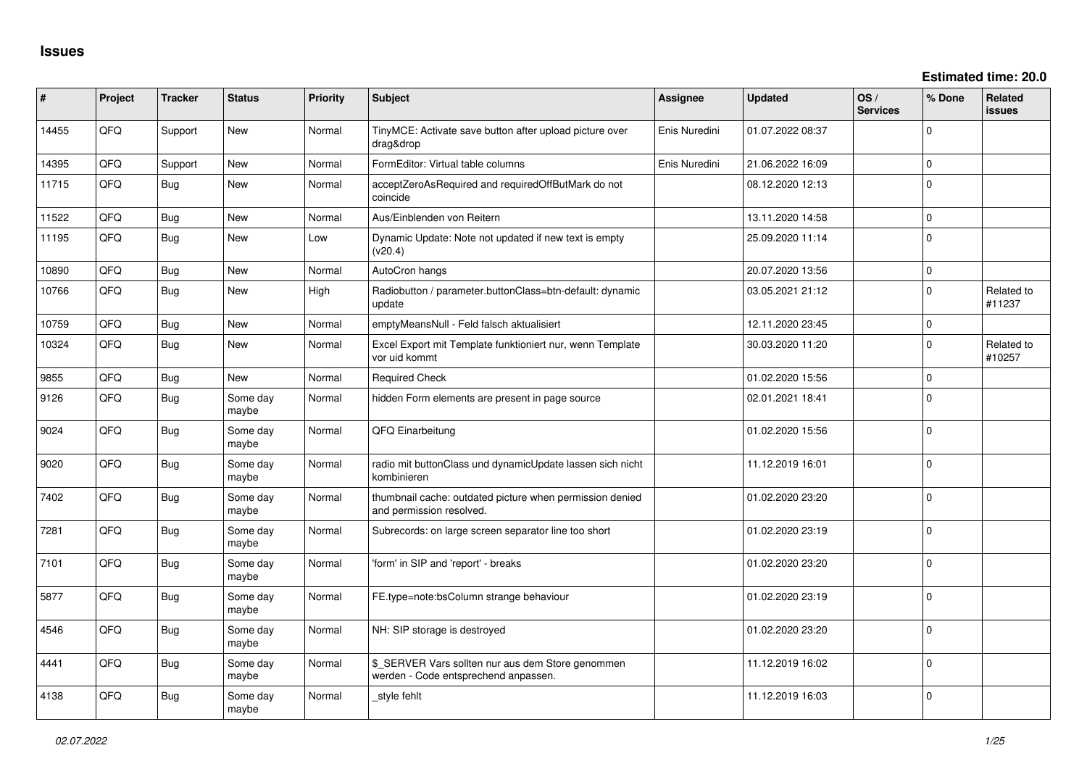| #     | Project | <b>Tracker</b> | <b>Status</b>     | Priority | Subject                                                                                   | <b>Assignee</b> | <b>Updated</b>   | OS/<br><b>Services</b> | % Done       | <b>Related</b><br><b>issues</b> |
|-------|---------|----------------|-------------------|----------|-------------------------------------------------------------------------------------------|-----------------|------------------|------------------------|--------------|---------------------------------|
| 14455 | QFQ     | Support        | New               | Normal   | TinyMCE: Activate save button after upload picture over<br>drag&drop                      | Enis Nuredini   | 01.07.2022 08:37 |                        | $\Omega$     |                                 |
| 14395 | QFQ     | Support        | New               | Normal   | FormEditor: Virtual table columns                                                         | Enis Nuredini   | 21.06.2022 16:09 |                        | $\mathbf 0$  |                                 |
| 11715 | QFQ     | <b>Bug</b>     | <b>New</b>        | Normal   | acceptZeroAsRequired and requiredOffButMark do not<br>coincide                            |                 | 08.12.2020 12:13 |                        | $\Omega$     |                                 |
| 11522 | QFQ     | <b>Bug</b>     | New               | Normal   | Aus/Einblenden von Reitern                                                                |                 | 13.11.2020 14:58 |                        | 0            |                                 |
| 11195 | QFQ     | Bug            | New               | Low      | Dynamic Update: Note not updated if new text is empty<br>(v20.4)                          |                 | 25.09.2020 11:14 |                        | $\Omega$     |                                 |
| 10890 | QFQ     | Bug            | <b>New</b>        | Normal   | AutoCron hangs                                                                            |                 | 20.07.2020 13:56 |                        | $\mathbf 0$  |                                 |
| 10766 | QFQ     | <b>Bug</b>     | New               | High     | Radiobutton / parameter.buttonClass=btn-default: dynamic<br>update                        |                 | 03.05.2021 21:12 |                        | $\mathbf{0}$ | Related to<br>#11237            |
| 10759 | QFQ     | <b>Bug</b>     | New               | Normal   | emptyMeansNull - Feld falsch aktualisiert                                                 |                 | 12.11.2020 23:45 |                        | $\mathbf{0}$ |                                 |
| 10324 | QFQ     | <b>Bug</b>     | New               | Normal   | Excel Export mit Template funktioniert nur, wenn Template<br>vor uid kommt                |                 | 30.03.2020 11:20 |                        | $\mathbf 0$  | Related to<br>#10257            |
| 9855  | QFQ     | Bug            | <b>New</b>        | Normal   | <b>Required Check</b>                                                                     |                 | 01.02.2020 15:56 |                        | $\mathbf 0$  |                                 |
| 9126  | QFQ     | <b>Bug</b>     | Some day<br>maybe | Normal   | hidden Form elements are present in page source                                           |                 | 02.01.2021 18:41 |                        | $\mathbf{0}$ |                                 |
| 9024  | QFQ     | <b>Bug</b>     | Some day<br>maybe | Normal   | QFQ Einarbeitung                                                                          |                 | 01.02.2020 15:56 |                        | $\Omega$     |                                 |
| 9020  | QFQ     | <b>Bug</b>     | Some day<br>maybe | Normal   | radio mit buttonClass und dynamicUpdate lassen sich nicht<br>kombinieren                  |                 | 11.12.2019 16:01 |                        | $\Omega$     |                                 |
| 7402  | QFQ     | <b>Bug</b>     | Some day<br>maybe | Normal   | thumbnail cache: outdated picture when permission denied<br>and permission resolved.      |                 | 01.02.2020 23:20 |                        | $\mathbf 0$  |                                 |
| 7281  | QFQ     | <b>Bug</b>     | Some day<br>maybe | Normal   | Subrecords: on large screen separator line too short                                      |                 | 01.02.2020 23:19 |                        | $\Omega$     |                                 |
| 7101  | QFQ     | <b>Bug</b>     | Some day<br>maybe | Normal   | 'form' in SIP and 'report' - breaks                                                       |                 | 01.02.2020 23:20 |                        | $\Omega$     |                                 |
| 5877  | QFQ     | Bug            | Some day<br>maybe | Normal   | FE.type=note:bsColumn strange behaviour                                                   |                 | 01.02.2020 23:19 |                        | $\Omega$     |                                 |
| 4546  | QFQ     | <b>Bug</b>     | Some day<br>maybe | Normal   | NH: SIP storage is destroyed                                                              |                 | 01.02.2020 23:20 |                        | 0            |                                 |
| 4441  | QFQ     | <b>Bug</b>     | Some dav<br>maybe | Normal   | \$_SERVER Vars sollten nur aus dem Store genommen<br>werden - Code entsprechend anpassen. |                 | 11.12.2019 16:02 |                        | $\Omega$     |                                 |
| 4138  | QFQ     | <b>Bug</b>     | Some day<br>maybe | Normal   | style fehlt                                                                               |                 | 11.12.2019 16:03 |                        | $\Omega$     |                                 |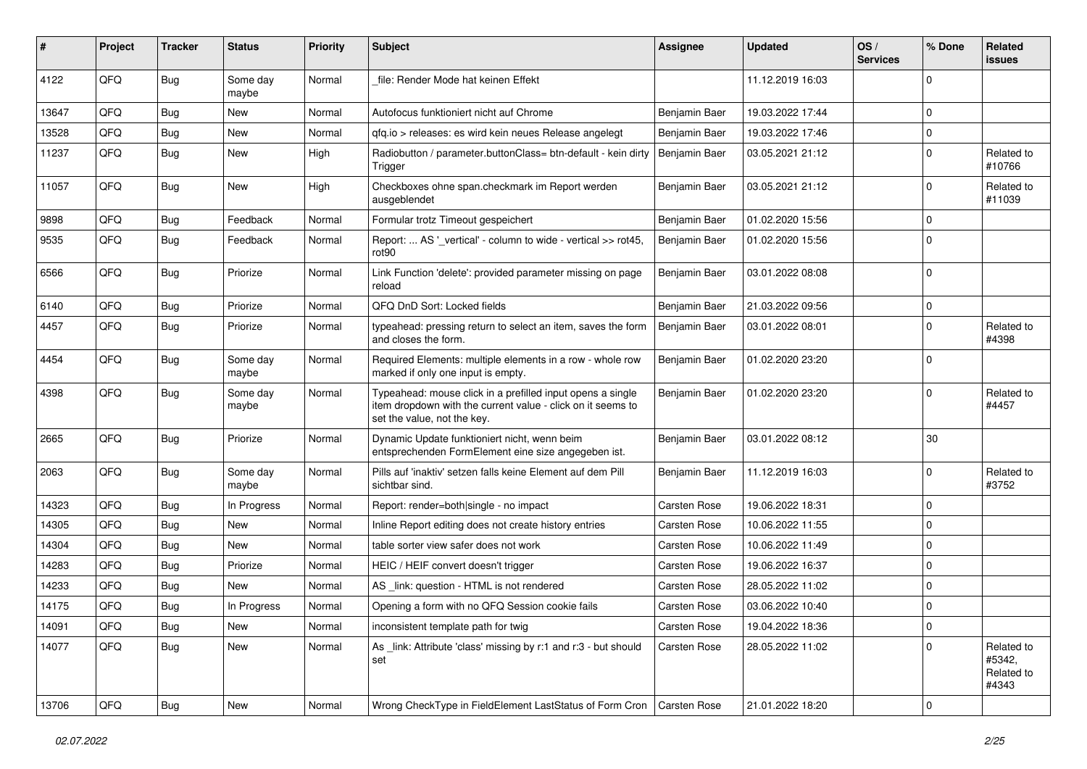| #     | Project | <b>Tracker</b> | <b>Status</b>     | <b>Priority</b> | Subject                                                                                                                                                  | <b>Assignee</b>     | <b>Updated</b>   | OS/<br><b>Services</b> | % Done      | Related<br>issues                           |
|-------|---------|----------------|-------------------|-----------------|----------------------------------------------------------------------------------------------------------------------------------------------------------|---------------------|------------------|------------------------|-------------|---------------------------------------------|
| 4122  | QFQ     | Bug            | Some day<br>maybe | Normal          | file: Render Mode hat keinen Effekt                                                                                                                      |                     | 11.12.2019 16:03 |                        | $\Omega$    |                                             |
| 13647 | QFQ     | Bug            | New               | Normal          | Autofocus funktioniert nicht auf Chrome                                                                                                                  | Benjamin Baer       | 19.03.2022 17:44 |                        | $\Omega$    |                                             |
| 13528 | QFQ     | <b>Bug</b>     | New               | Normal          | qfq.io > releases: es wird kein neues Release angelegt                                                                                                   | Benjamin Baer       | 19.03.2022 17:46 |                        | $\Omega$    |                                             |
| 11237 | QFQ     | <b>Bug</b>     | New               | High            | Radiobutton / parameter.buttonClass= btn-default - kein dirty<br>Trigger                                                                                 | Benjamin Baer       | 03.05.2021 21:12 |                        | $\Omega$    | Related to<br>#10766                        |
| 11057 | QFQ     | Bug            | New               | High            | Checkboxes ohne span.checkmark im Report werden<br>ausgeblendet                                                                                          | Benjamin Baer       | 03.05.2021 21:12 |                        | $\Omega$    | Related to<br>#11039                        |
| 9898  | QFQ     | <b>Bug</b>     | Feedback          | Normal          | Formular trotz Timeout gespeichert                                                                                                                       | Benjamin Baer       | 01.02.2020 15:56 |                        | $\mathbf 0$ |                                             |
| 9535  | QFQ     | <b>Bug</b>     | Feedback          | Normal          | Report:  AS '_vertical' - column to wide - vertical >> rot45,<br>rot90                                                                                   | Benjamin Baer       | 01.02.2020 15:56 |                        | $\Omega$    |                                             |
| 6566  | QFQ     | Bug            | Priorize          | Normal          | Link Function 'delete': provided parameter missing on page<br>reload                                                                                     | Benjamin Baer       | 03.01.2022 08:08 |                        | $\Omega$    |                                             |
| 6140  | QFQ     | <b>Bug</b>     | Priorize          | Normal          | QFQ DnD Sort: Locked fields                                                                                                                              | Benjamin Baer       | 21.03.2022 09:56 |                        | $\mathbf 0$ |                                             |
| 4457  | QFQ     | <b>Bug</b>     | Priorize          | Normal          | typeahead: pressing return to select an item, saves the form<br>and closes the form.                                                                     | Benjamin Baer       | 03.01.2022 08:01 |                        | $\Omega$    | Related to<br>#4398                         |
| 4454  | QFQ     | Bug            | Some day<br>maybe | Normal          | Required Elements: multiple elements in a row - whole row<br>marked if only one input is empty.                                                          | Benjamin Baer       | 01.02.2020 23:20 |                        | $\Omega$    |                                             |
| 4398  | QFQ     | Bug            | Some day<br>maybe | Normal          | Typeahead: mouse click in a prefilled input opens a single<br>item dropdown with the current value - click on it seems to<br>set the value, not the key. | Benjamin Baer       | 01.02.2020 23:20 |                        | $\Omega$    | Related to<br>#4457                         |
| 2665  | QFQ     | Bug            | Priorize          | Normal          | Dynamic Update funktioniert nicht, wenn beim<br>entsprechenden FormElement eine size angegeben ist.                                                      | Benjamin Baer       | 03.01.2022 08:12 |                        | 30          |                                             |
| 2063  | QFQ     | <b>Bug</b>     | Some day<br>maybe | Normal          | Pills auf 'inaktiv' setzen falls keine Element auf dem Pill<br>sichtbar sind.                                                                            | Benjamin Baer       | 11.12.2019 16:03 |                        | $\Omega$    | Related to<br>#3752                         |
| 14323 | QFQ     | <b>Bug</b>     | In Progress       | Normal          | Report: render=both single - no impact                                                                                                                   | Carsten Rose        | 19.06.2022 18:31 |                        | $\mathbf 0$ |                                             |
| 14305 | QFQ     | <b>Bug</b>     | New               | Normal          | Inline Report editing does not create history entries                                                                                                    | Carsten Rose        | 10.06.2022 11:55 |                        | $\Omega$    |                                             |
| 14304 | QFQ     | <b>Bug</b>     | New               | Normal          | table sorter view safer does not work                                                                                                                    | <b>Carsten Rose</b> | 10.06.2022 11:49 |                        | $\Omega$    |                                             |
| 14283 | QFQ     | <b>Bug</b>     | Priorize          | Normal          | HEIC / HEIF convert doesn't trigger                                                                                                                      | Carsten Rose        | 19.06.2022 16:37 |                        | $\mathbf 0$ |                                             |
| 14233 | QFQ     | <b>Bug</b>     | New               | Normal          | AS link: question - HTML is not rendered                                                                                                                 | <b>Carsten Rose</b> | 28.05.2022 11:02 |                        | $\Omega$    |                                             |
| 14175 | QFQ     | <b>Bug</b>     | In Progress       | Normal          | Opening a form with no QFQ Session cookie fails                                                                                                          | Carsten Rose        | 03.06.2022 10:40 |                        | $\mathbf 0$ |                                             |
| 14091 | QFQ     | <b>Bug</b>     | New               | Normal          | inconsistent template path for twig                                                                                                                      | Carsten Rose        | 19.04.2022 18:36 |                        | 0           |                                             |
| 14077 | QFQ     | <b>Bug</b>     | New               | Normal          | As link: Attribute 'class' missing by r:1 and r:3 - but should<br>set                                                                                    | Carsten Rose        | 28.05.2022 11:02 |                        | $\mathbf 0$ | Related to<br>#5342,<br>Related to<br>#4343 |
| 13706 | QFG     | Bug            | New               | Normal          | Wrong CheckType in FieldElement LastStatus of Form Cron                                                                                                  | Carsten Rose        | 21.01.2022 18:20 |                        | $\mathbf 0$ |                                             |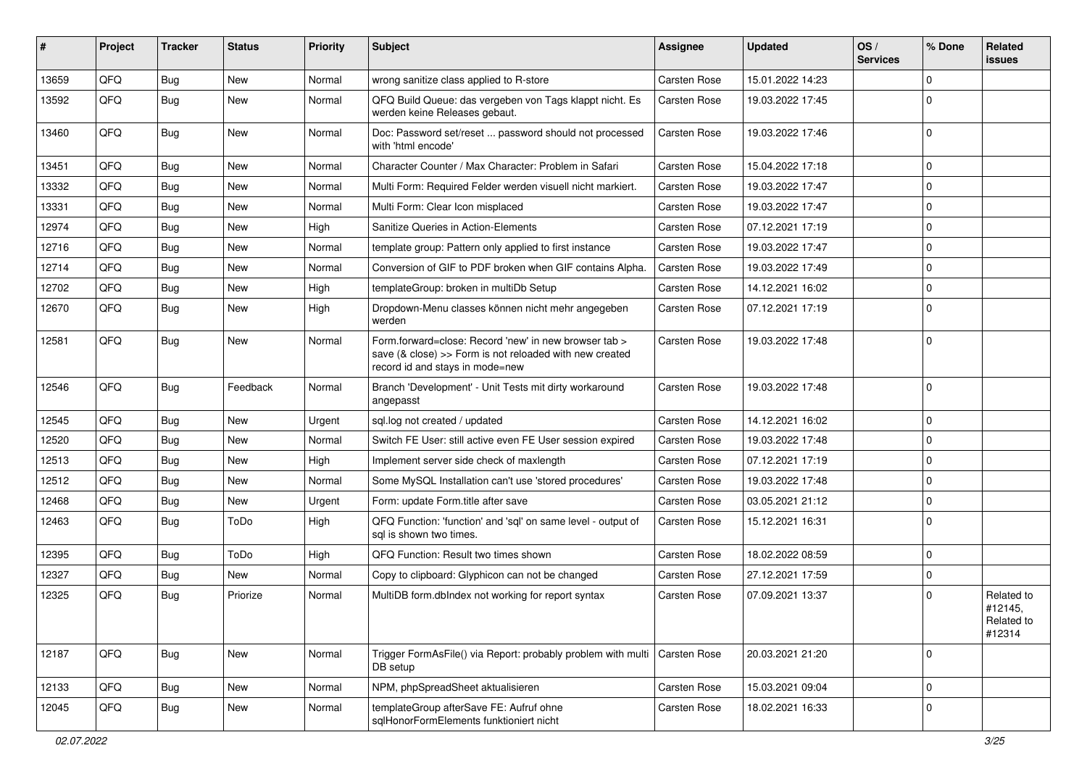| #     | Project | <b>Tracker</b> | <b>Status</b> | <b>Priority</b> | <b>Subject</b>                                                                                                                                      | <b>Assignee</b>     | <b>Updated</b>   | OS/<br><b>Services</b> | % Done              | Related<br>issues                             |
|-------|---------|----------------|---------------|-----------------|-----------------------------------------------------------------------------------------------------------------------------------------------------|---------------------|------------------|------------------------|---------------------|-----------------------------------------------|
| 13659 | QFQ     | Bug            | <b>New</b>    | Normal          | wrong sanitize class applied to R-store                                                                                                             | <b>Carsten Rose</b> | 15.01.2022 14:23 |                        | 0                   |                                               |
| 13592 | QFQ     | Bug            | New           | Normal          | QFQ Build Queue: das vergeben von Tags klappt nicht. Es<br>werden keine Releases gebaut.                                                            | <b>Carsten Rose</b> | 19.03.2022 17:45 |                        | 0                   |                                               |
| 13460 | QFQ     | Bug            | New           | Normal          | Doc: Password set/reset  password should not processed<br>with 'html encode'                                                                        | <b>Carsten Rose</b> | 19.03.2022 17:46 |                        | 0                   |                                               |
| 13451 | QFQ     | Bug            | <b>New</b>    | Normal          | Character Counter / Max Character: Problem in Safari                                                                                                | <b>Carsten Rose</b> | 15.04.2022 17:18 |                        | $\mathbf 0$         |                                               |
| 13332 | QFQ     | Bug            | New           | Normal          | Multi Form: Required Felder werden visuell nicht markiert.                                                                                          | <b>Carsten Rose</b> | 19.03.2022 17:47 |                        | 0                   |                                               |
| 13331 | QFQ     | Bug            | <b>New</b>    | Normal          | Multi Form: Clear Icon misplaced                                                                                                                    | <b>Carsten Rose</b> | 19.03.2022 17:47 |                        | 0                   |                                               |
| 12974 | QFQ     | Bug            | New           | High            | Sanitize Queries in Action-Elements                                                                                                                 | <b>Carsten Rose</b> | 07.12.2021 17:19 |                        | 0                   |                                               |
| 12716 | QFQ     | Bug            | <b>New</b>    | Normal          | template group: Pattern only applied to first instance                                                                                              | Carsten Rose        | 19.03.2022 17:47 |                        | $\mathbf 0$         |                                               |
| 12714 | QFQ     | Bug            | New           | Normal          | Conversion of GIF to PDF broken when GIF contains Alpha.                                                                                            | <b>Carsten Rose</b> | 19.03.2022 17:49 |                        | 0                   |                                               |
| 12702 | QFQ     | <b>Bug</b>     | <b>New</b>    | High            | templateGroup: broken in multiDb Setup                                                                                                              | <b>Carsten Rose</b> | 14.12.2021 16:02 |                        | 0                   |                                               |
| 12670 | QFQ     | Bug            | New           | High            | Dropdown-Menu classes können nicht mehr angegeben<br>werden                                                                                         | <b>Carsten Rose</b> | 07.12.2021 17:19 |                        | 0                   |                                               |
| 12581 | QFQ     | Bug            | New           | Normal          | Form.forward=close: Record 'new' in new browser tab ><br>save (& close) >> Form is not reloaded with new created<br>record id and stays in mode=new | <b>Carsten Rose</b> | 19.03.2022 17:48 |                        | $\mathbf 0$         |                                               |
| 12546 | QFQ     | Bug            | Feedback      | Normal          | Branch 'Development' - Unit Tests mit dirty workaround<br>angepasst                                                                                 | <b>Carsten Rose</b> | 19.03.2022 17:48 |                        | $\Omega$            |                                               |
| 12545 | QFQ     | Bug            | <b>New</b>    | Urgent          | sql.log not created / updated                                                                                                                       | <b>Carsten Rose</b> | 14.12.2021 16:02 |                        | 0                   |                                               |
| 12520 | QFQ     | Bug            | <b>New</b>    | Normal          | Switch FE User: still active even FE User session expired                                                                                           | <b>Carsten Rose</b> | 19.03.2022 17:48 |                        | 0                   |                                               |
| 12513 | QFQ     | Bug            | New           | High            | Implement server side check of maxlength                                                                                                            | <b>Carsten Rose</b> | 07.12.2021 17:19 |                        | 0                   |                                               |
| 12512 | QFQ     | Bug            | New           | Normal          | Some MySQL Installation can't use 'stored procedures'                                                                                               | <b>Carsten Rose</b> | 19.03.2022 17:48 |                        | 0                   |                                               |
| 12468 | QFQ     | Bug            | New           | Urgent          | Form: update Form.title after save                                                                                                                  | <b>Carsten Rose</b> | 03.05.2021 21:12 |                        | 0                   |                                               |
| 12463 | QFQ     | Bug            | ToDo          | High            | QFQ Function: 'function' and 'sql' on same level - output of<br>sal is shown two times.                                                             | <b>Carsten Rose</b> | 15.12.2021 16:31 |                        | 0                   |                                               |
| 12395 | QFQ     | Bug            | ToDo          | High            | QFQ Function: Result two times shown                                                                                                                | Carsten Rose        | 18.02.2022 08:59 |                        | 0                   |                                               |
| 12327 | QFQ     | <b>Bug</b>     | New           | Normal          | Copy to clipboard: Glyphicon can not be changed                                                                                                     | Carsten Rose        | 27.12.2021 17:59 |                        | 0                   |                                               |
| 12325 | QFQ     | Bug            | Priorize      | Normal          | MultiDB form.dblndex not working for report syntax                                                                                                  | <b>Carsten Rose</b> | 07.09.2021 13:37 |                        | 0                   | Related to<br>#12145,<br>Related to<br>#12314 |
| 12187 | QFQ     | <b>Bug</b>     | New           | Normal          | Trigger FormAsFile() via Report: probably problem with multi<br>DB setup                                                                            | Carsten Rose        | 20.03.2021 21:20 |                        | $\mathbf 0$         |                                               |
| 12133 | QFQ     | Bug            | New           | Normal          | NPM, phpSpreadSheet aktualisieren                                                                                                                   | Carsten Rose        | 15.03.2021 09:04 |                        | $\mathsf{O}\xspace$ |                                               |
| 12045 | QFQ     | <b>Bug</b>     | New           | Normal          | templateGroup afterSave FE: Aufruf ohne<br>sqlHonorFormElements funktioniert nicht                                                                  | Carsten Rose        | 18.02.2021 16:33 |                        | 0                   |                                               |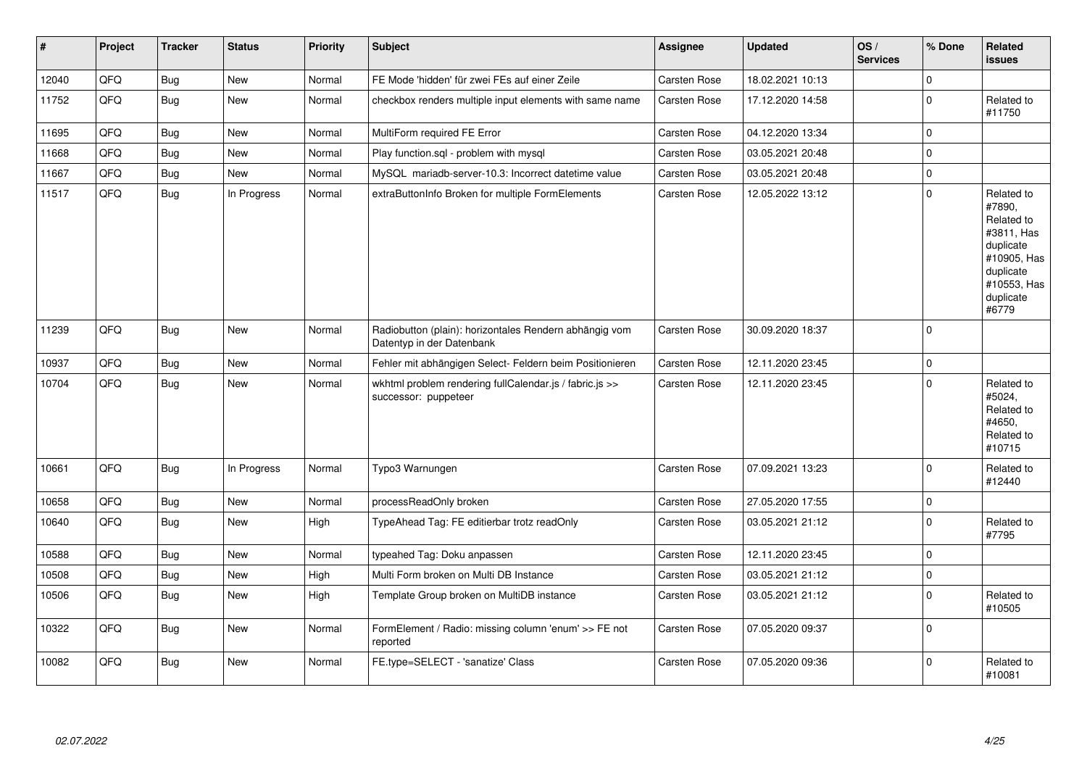| #     | Project | <b>Tracker</b> | <b>Status</b> | <b>Priority</b> | <b>Subject</b>                                                                      | Assignee     | <b>Updated</b>   | OS/<br><b>Services</b> | % Done      | Related<br><b>issues</b>                                                                                                       |
|-------|---------|----------------|---------------|-----------------|-------------------------------------------------------------------------------------|--------------|------------------|------------------------|-------------|--------------------------------------------------------------------------------------------------------------------------------|
| 12040 | QFQ     | <b>Bug</b>     | New           | Normal          | FE Mode 'hidden' für zwei FEs auf einer Zeile                                       | Carsten Rose | 18.02.2021 10:13 |                        | $\Omega$    |                                                                                                                                |
| 11752 | QFQ     | Bug            | New           | Normal          | checkbox renders multiple input elements with same name                             | Carsten Rose | 17.12.2020 14:58 |                        | $\mathbf 0$ | Related to<br>#11750                                                                                                           |
| 11695 | QFQ     | Bug            | New           | Normal          | MultiForm required FE Error                                                         | Carsten Rose | 04.12.2020 13:34 |                        | $\mathbf 0$ |                                                                                                                                |
| 11668 | QFQ     | Bug            | New           | Normal          | Play function.sql - problem with mysql                                              | Carsten Rose | 03.05.2021 20:48 |                        | $\mathbf 0$ |                                                                                                                                |
| 11667 | QFQ     | Bug            | New           | Normal          | MySQL mariadb-server-10.3: Incorrect datetime value                                 | Carsten Rose | 03.05.2021 20:48 |                        | $\mathbf 0$ |                                                                                                                                |
| 11517 | QFQ     | Bug            | In Progress   | Normal          | extraButtonInfo Broken for multiple FormElements                                    | Carsten Rose | 12.05.2022 13:12 |                        | $\mathbf 0$ | Related to<br>#7890,<br>Related to<br>#3811, Has<br>duplicate<br>#10905, Has<br>duplicate<br>#10553, Has<br>duplicate<br>#6779 |
| 11239 | QFQ     | <b>Bug</b>     | New           | Normal          | Radiobutton (plain): horizontales Rendern abhängig vom<br>Datentyp in der Datenbank | Carsten Rose | 30.09.2020 18:37 |                        | $\mathbf 0$ |                                                                                                                                |
| 10937 | QFQ     | Bug            | <b>New</b>    | Normal          | Fehler mit abhängigen Select- Feldern beim Positionieren                            | Carsten Rose | 12.11.2020 23:45 |                        | $\mathbf 0$ |                                                                                                                                |
| 10704 | QFQ     | Bug            | New           | Normal          | wkhtml problem rendering fullCalendar.js / fabric.js >><br>successor: puppeteer     | Carsten Rose | 12.11.2020 23:45 |                        | $\mathbf 0$ | Related to<br>#5024,<br>Related to<br>#4650.<br>Related to<br>#10715                                                           |
| 10661 | QFQ     | Bug            | In Progress   | Normal          | Typo3 Warnungen                                                                     | Carsten Rose | 07.09.2021 13:23 |                        | $\mathbf 0$ | Related to<br>#12440                                                                                                           |
| 10658 | QFQ     | Bug            | New           | Normal          | processReadOnly broken                                                              | Carsten Rose | 27.05.2020 17:55 |                        | $\mathbf 0$ |                                                                                                                                |
| 10640 | QFQ     | Bug            | New           | High            | TypeAhead Tag: FE editierbar trotz readOnly                                         | Carsten Rose | 03.05.2021 21:12 |                        | $\mathbf 0$ | Related to<br>#7795                                                                                                            |
| 10588 | QFQ     | Bug            | New           | Normal          | typeahed Tag: Doku anpassen                                                         | Carsten Rose | 12.11.2020 23:45 |                        | $\mathbf 0$ |                                                                                                                                |
| 10508 | QFQ     | Bug            | New           | High            | Multi Form broken on Multi DB Instance                                              | Carsten Rose | 03.05.2021 21:12 |                        | $\mathbf 0$ |                                                                                                                                |
| 10506 | QFQ     | <b>Bug</b>     | New           | High            | Template Group broken on MultiDB instance                                           | Carsten Rose | 03.05.2021 21:12 |                        | $\mathbf 0$ | Related to<br>#10505                                                                                                           |
| 10322 | QFQ     | Bug            | New           | Normal          | FormElement / Radio: missing column 'enum' >> FE not<br>reported                    | Carsten Rose | 07.05.2020 09:37 |                        | $\mathbf 0$ |                                                                                                                                |
| 10082 | QFQ     | Bug            | New           | Normal          | FE.type=SELECT - 'sanatize' Class                                                   | Carsten Rose | 07.05.2020 09:36 |                        | $\Omega$    | Related to<br>#10081                                                                                                           |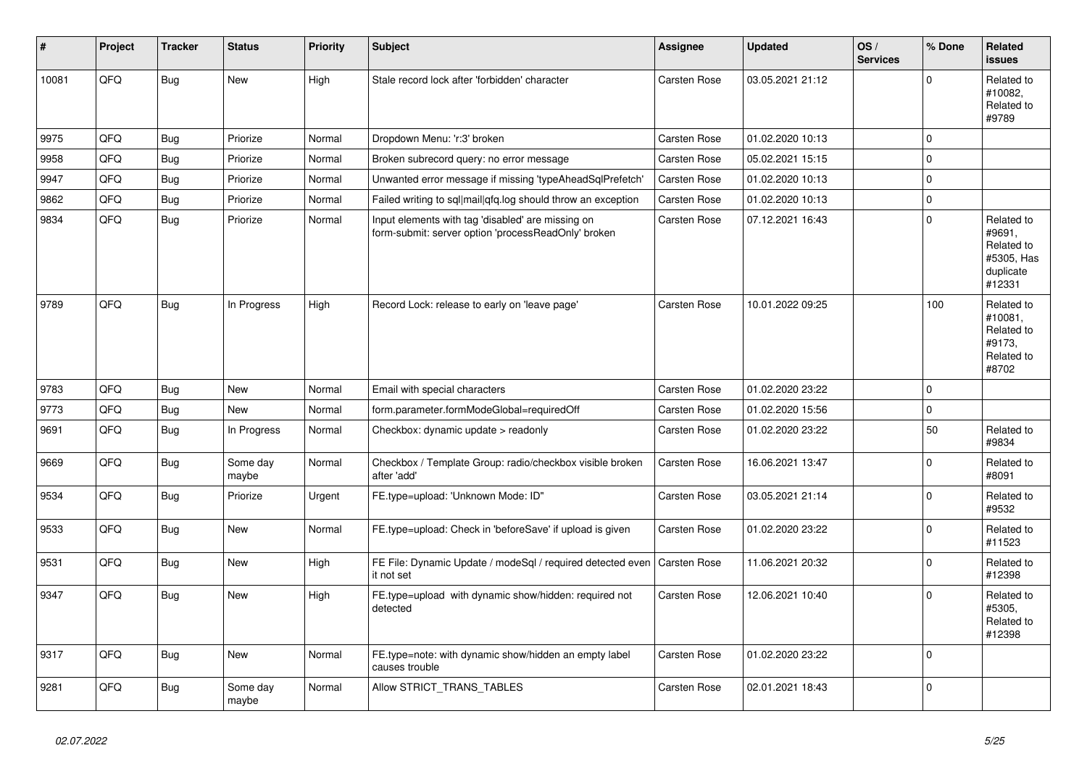| #     | Project | <b>Tracker</b> | <b>Status</b>     | <b>Priority</b> | <b>Subject</b>                                                                                           | Assignee            | <b>Updated</b>   | OS/<br><b>Services</b> | % Done      | Related<br><b>issues</b>                                                |
|-------|---------|----------------|-------------------|-----------------|----------------------------------------------------------------------------------------------------------|---------------------|------------------|------------------------|-------------|-------------------------------------------------------------------------|
| 10081 | QFQ     | <b>Bug</b>     | New               | High            | Stale record lock after 'forbidden' character                                                            | <b>Carsten Rose</b> | 03.05.2021 21:12 |                        | $\mathbf 0$ | Related to<br>#10082,<br>Related to<br>#9789                            |
| 9975  | QFQ     | <b>Bug</b>     | Priorize          | Normal          | Dropdown Menu: 'r:3' broken                                                                              | Carsten Rose        | 01.02.2020 10:13 |                        | $\mathbf 0$ |                                                                         |
| 9958  | QFQ     | <b>Bug</b>     | Priorize          | Normal          | Broken subrecord query: no error message                                                                 | <b>Carsten Rose</b> | 05.02.2021 15:15 |                        | $\mathbf 0$ |                                                                         |
| 9947  | QFQ     | <b>Bug</b>     | Priorize          | Normal          | Unwanted error message if missing 'typeAheadSqlPrefetch'                                                 | Carsten Rose        | 01.02.2020 10:13 |                        | $\mathbf 0$ |                                                                         |
| 9862  | QFQ     | <b>Bug</b>     | Priorize          | Normal          | Failed writing to sql mail qfq.log should throw an exception                                             | Carsten Rose        | 01.02.2020 10:13 |                        | $\mathbf 0$ |                                                                         |
| 9834  | QFQ     | <b>Bug</b>     | Priorize          | Normal          | Input elements with tag 'disabled' are missing on<br>form-submit: server option 'processReadOnly' broken | Carsten Rose        | 07.12.2021 16:43 |                        | $\mathbf 0$ | Related to<br>#9691,<br>Related to<br>#5305, Has<br>duplicate<br>#12331 |
| 9789  | QFQ     | Bug            | In Progress       | High            | Record Lock: release to early on 'leave page'                                                            | <b>Carsten Rose</b> | 10.01.2022 09:25 |                        | 100         | Related to<br>#10081,<br>Related to<br>#9173,<br>Related to<br>#8702    |
| 9783  | QFQ     | <b>Bug</b>     | <b>New</b>        | Normal          | Email with special characters                                                                            | Carsten Rose        | 01.02.2020 23:22 |                        | $\Omega$    |                                                                         |
| 9773  | QFQ     | <b>Bug</b>     | New               | Normal          | form.parameter.formModeGlobal=requiredOff                                                                | Carsten Rose        | 01.02.2020 15:56 |                        | $\mathbf 0$ |                                                                         |
| 9691  | QFQ     | <b>Bug</b>     | In Progress       | Normal          | Checkbox: dynamic update > readonly                                                                      | <b>Carsten Rose</b> | 01.02.2020 23:22 |                        | 50          | Related to<br>#9834                                                     |
| 9669  | QFQ     | <b>Bug</b>     | Some day<br>maybe | Normal          | Checkbox / Template Group: radio/checkbox visible broken<br>after 'add'                                  | Carsten Rose        | 16.06.2021 13:47 |                        | $\mathbf 0$ | Related to<br>#8091                                                     |
| 9534  | QFQ     | <b>Bug</b>     | Priorize          | Urgent          | FE.type=upload: 'Unknown Mode: ID"                                                                       | Carsten Rose        | 03.05.2021 21:14 |                        | $\Omega$    | Related to<br>#9532                                                     |
| 9533  | QFQ     | <b>Bug</b>     | New               | Normal          | FE.type=upload: Check in 'beforeSave' if upload is given                                                 | Carsten Rose        | 01.02.2020 23:22 |                        | $\mathbf 0$ | Related to<br>#11523                                                    |
| 9531  | QFQ     | <b>Bug</b>     | New               | High            | FE File: Dynamic Update / modeSql / required detected even<br>it not set                                 | Carsten Rose        | 11.06.2021 20:32 |                        | $\mathbf 0$ | Related to<br>#12398                                                    |
| 9347  | QFQ     | <b>Bug</b>     | <b>New</b>        | High            | FE.type=upload with dynamic show/hidden: required not<br>detected                                        | Carsten Rose        | 12.06.2021 10:40 |                        | $\Omega$    | Related to<br>#5305,<br>Related to<br>#12398                            |
| 9317  | QFQ     | <b>Bug</b>     | <b>New</b>        | Normal          | FE.type=note: with dynamic show/hidden an empty label<br>causes trouble                                  | Carsten Rose        | 01.02.2020 23:22 |                        | $\Omega$    |                                                                         |
| 9281  | QFQ     | <b>Bug</b>     | Some day<br>maybe | Normal          | Allow STRICT_TRANS_TABLES                                                                                | Carsten Rose        | 02.01.2021 18:43 |                        | $\mathbf 0$ |                                                                         |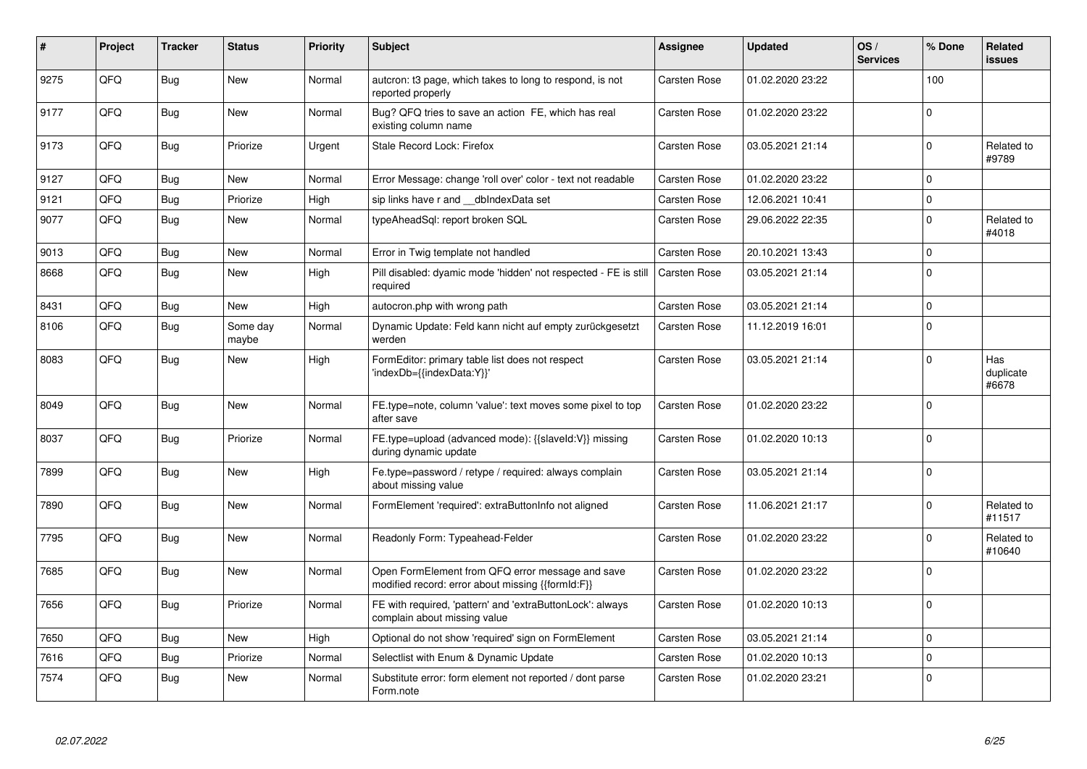| #    | Project | Tracker    | <b>Status</b>     | <b>Priority</b> | <b>Subject</b>                                                                                        | Assignee            | <b>Updated</b>   | OS/<br><b>Services</b> | % Done      | Related<br><b>issues</b>  |
|------|---------|------------|-------------------|-----------------|-------------------------------------------------------------------------------------------------------|---------------------|------------------|------------------------|-------------|---------------------------|
| 9275 | QFQ     | Bug        | <b>New</b>        | Normal          | autcron: t3 page, which takes to long to respond, is not<br>reported properly                         | Carsten Rose        | 01.02.2020 23:22 |                        | 100         |                           |
| 9177 | QFQ     | Bug        | New               | Normal          | Bug? QFQ tries to save an action FE, which has real<br>existing column name                           | Carsten Rose        | 01.02.2020 23:22 |                        | $\Omega$    |                           |
| 9173 | QFQ     | <b>Bug</b> | Priorize          | Urgent          | Stale Record Lock: Firefox                                                                            | Carsten Rose        | 03.05.2021 21:14 |                        | $\mathbf 0$ | Related to<br>#9789       |
| 9127 | QFQ     | Bug        | <b>New</b>        | Normal          | Error Message: change 'roll over' color - text not readable                                           | Carsten Rose        | 01.02.2020 23:22 |                        | $\Omega$    |                           |
| 9121 | QFQ     | Bug        | Priorize          | High            | sip links have r and __dbIndexData set                                                                | Carsten Rose        | 12.06.2021 10:41 |                        | $\Omega$    |                           |
| 9077 | QFQ     | Bug        | New               | Normal          | typeAheadSql: report broken SQL                                                                       | Carsten Rose        | 29.06.2022 22:35 |                        | $\Omega$    | Related to<br>#4018       |
| 9013 | QFQ     | Bug        | New               | Normal          | Error in Twig template not handled                                                                    | Carsten Rose        | 20.10.2021 13:43 |                        | $\mathbf 0$ |                           |
| 8668 | QFQ     | Bug        | <b>New</b>        | High            | Pill disabled: dyamic mode 'hidden' not respected - FE is still<br>required                           | <b>Carsten Rose</b> | 03.05.2021 21:14 |                        | $\Omega$    |                           |
| 8431 | QFQ     | <b>Bug</b> | <b>New</b>        | High            | autocron.php with wrong path                                                                          | Carsten Rose        | 03.05.2021 21:14 |                        | $\Omega$    |                           |
| 8106 | QFQ     | <b>Bug</b> | Some day<br>maybe | Normal          | Dynamic Update: Feld kann nicht auf empty zurückgesetzt<br>werden                                     | Carsten Rose        | 11.12.2019 16:01 |                        | $\Omega$    |                           |
| 8083 | QFQ     | <b>Bug</b> | New               | High            | FormEditor: primary table list does not respect<br>'indexDb={{indexData:Y}}'                          | Carsten Rose        | 03.05.2021 21:14 |                        | $\Omega$    | Has<br>duplicate<br>#6678 |
| 8049 | QFQ     | Bug        | <b>New</b>        | Normal          | FE.type=note, column 'value': text moves some pixel to top<br>after save                              | Carsten Rose        | 01.02.2020 23:22 |                        | $\Omega$    |                           |
| 8037 | QFQ     | Bug        | Priorize          | Normal          | FE.type=upload (advanced mode): {{slaveId:V}} missing<br>during dynamic update                        | Carsten Rose        | 01.02.2020 10:13 |                        | $\Omega$    |                           |
| 7899 | QFQ     | Bug        | <b>New</b>        | High            | Fe.type=password / retype / required: always complain<br>about missing value                          | Carsten Rose        | 03.05.2021 21:14 |                        | $\Omega$    |                           |
| 7890 | QFQ     | Bug        | New               | Normal          | FormElement 'required': extraButtonInfo not aligned                                                   | Carsten Rose        | 11.06.2021 21:17 |                        | $\Omega$    | Related to<br>#11517      |
| 7795 | QFQ     | Bug        | New               | Normal          | Readonly Form: Typeahead-Felder                                                                       | Carsten Rose        | 01.02.2020 23:22 |                        | $\Omega$    | Related to<br>#10640      |
| 7685 | QFQ     | Bug        | <b>New</b>        | Normal          | Open FormElement from QFQ error message and save<br>modified record: error about missing {{formId:F}} | Carsten Rose        | 01.02.2020 23:22 |                        | $\Omega$    |                           |
| 7656 | QFQ     | <b>Bug</b> | Priorize          | Normal          | FE with required, 'pattern' and 'extraButtonLock': always<br>complain about missing value             | Carsten Rose        | 01.02.2020 10:13 |                        | $\Omega$    |                           |
| 7650 | QFQ     | Bug        | New               | High            | Optional do not show 'required' sign on FormElement                                                   | Carsten Rose        | 03.05.2021 21:14 |                        | $\mathbf 0$ |                           |
| 7616 | QFQ     | <b>Bug</b> | Priorize          | Normal          | Selectlist with Enum & Dynamic Update                                                                 | Carsten Rose        | 01.02.2020 10:13 |                        | $\Omega$    |                           |
| 7574 | QFQ     | Bug        | <b>New</b>        | Normal          | Substitute error: form element not reported / dont parse<br>Form.note                                 | Carsten Rose        | 01.02.2020 23:21 |                        | $\Omega$    |                           |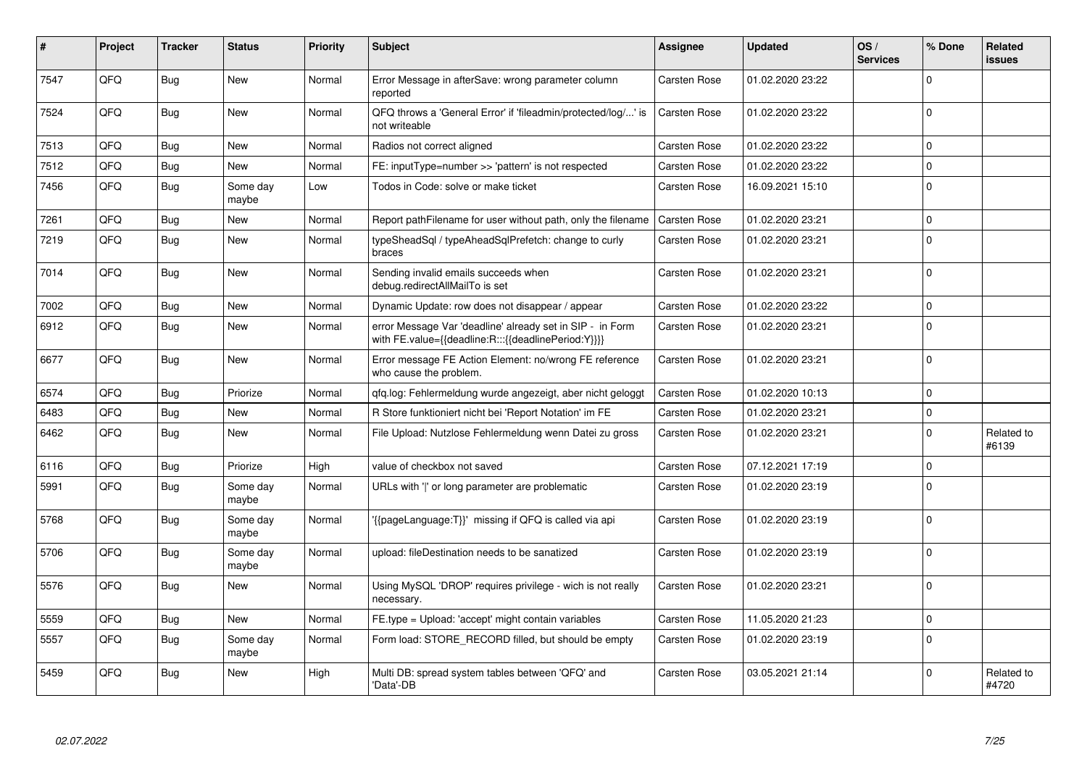| #    | Project | <b>Tracker</b> | <b>Status</b>     | <b>Priority</b> | <b>Subject</b>                                                                                                   | Assignee            | <b>Updated</b>   | OS/<br><b>Services</b> | % Done         | Related<br><b>issues</b> |
|------|---------|----------------|-------------------|-----------------|------------------------------------------------------------------------------------------------------------------|---------------------|------------------|------------------------|----------------|--------------------------|
| 7547 | QFQ     | Bug            | New               | Normal          | Error Message in afterSave: wrong parameter column<br>reported                                                   | Carsten Rose        | 01.02.2020 23:22 |                        | $\Omega$       |                          |
| 7524 | QFQ     | Bug            | New               | Normal          | QFQ throws a 'General Error' if 'fileadmin/protected/log/' is<br>not writeable                                   | <b>Carsten Rose</b> | 01.02.2020 23:22 |                        | $\overline{0}$ |                          |
| 7513 | QFQ     | <b>Bug</b>     | New               | Normal          | Radios not correct aligned                                                                                       | <b>Carsten Rose</b> | 01.02.2020 23:22 |                        | $\Omega$       |                          |
| 7512 | QFQ     | <b>Bug</b>     | New               | Normal          | FE: inputType=number >> 'pattern' is not respected                                                               | Carsten Rose        | 01.02.2020 23:22 |                        | $\Omega$       |                          |
| 7456 | QFQ     | Bug            | Some day<br>maybe | Low             | Todos in Code: solve or make ticket                                                                              | Carsten Rose        | 16.09.2021 15:10 |                        | $\Omega$       |                          |
| 7261 | QFQ     | <b>Bug</b>     | New               | Normal          | Report pathFilename for user without path, only the filename                                                     | <b>Carsten Rose</b> | 01.02.2020 23:21 |                        | $\Omega$       |                          |
| 7219 | QFQ     | <b>Bug</b>     | New               | Normal          | typeSheadSql / typeAheadSqlPrefetch: change to curly<br>braces                                                   | Carsten Rose        | 01.02.2020 23:21 |                        | $\Omega$       |                          |
| 7014 | QFQ     | Bug            | New               | Normal          | Sending invalid emails succeeds when<br>debug.redirectAllMailTo is set                                           | Carsten Rose        | 01.02.2020 23:21 |                        | $\overline{0}$ |                          |
| 7002 | QFQ     | Bug            | New               | Normal          | Dynamic Update: row does not disappear / appear                                                                  | Carsten Rose        | 01.02.2020 23:22 |                        | $\Omega$       |                          |
| 6912 | QFQ     | <b>Bug</b>     | New               | Normal          | error Message Var 'deadline' already set in SIP - in Form<br>with FE.value={{deadline:R:::{{deadlinePeriod:Y}}}} | <b>Carsten Rose</b> | 01.02.2020 23:21 |                        | $\Omega$       |                          |
| 6677 | QFQ     | Bug            | New               | Normal          | Error message FE Action Element: no/wrong FE reference<br>who cause the problem.                                 | Carsten Rose        | 01.02.2020 23:21 |                        | $\Omega$       |                          |
| 6574 | QFQ     | Bug            | Priorize          | Normal          | gfg.log: Fehlermeldung wurde angezeigt, aber nicht geloggt                                                       | <b>Carsten Rose</b> | 01.02.2020 10:13 |                        | $\Omega$       |                          |
| 6483 | QFQ     | Bug            | New               | Normal          | R Store funktioniert nicht bei 'Report Notation' im FE                                                           | Carsten Rose        | 01.02.2020 23:21 |                        | $\Omega$       |                          |
| 6462 | QFQ     | Bug            | New               | Normal          | File Upload: Nutzlose Fehlermeldung wenn Datei zu gross                                                          | Carsten Rose        | 01.02.2020 23:21 |                        | $\Omega$       | Related to<br>#6139      |
| 6116 | QFQ     | Bug            | Priorize          | High            | value of checkbox not saved                                                                                      | <b>Carsten Rose</b> | 07.12.2021 17:19 |                        | $\mathbf 0$    |                          |
| 5991 | QFQ     | Bug            | Some day<br>maybe | Normal          | URLs with 'I' or long parameter are problematic                                                                  | <b>Carsten Rose</b> | 01.02.2020 23:19 |                        | $\Omega$       |                          |
| 5768 | QFQ     | Bug            | Some day<br>maybe | Normal          | {{pageLanguage:T}}' missing if QFQ is called via api                                                             | Carsten Rose        | 01.02.2020 23:19 |                        | $\Omega$       |                          |
| 5706 | QFQ     | <b>Bug</b>     | Some day<br>maybe | Normal          | upload: fileDestination needs to be sanatized                                                                    | <b>Carsten Rose</b> | 01.02.2020 23:19 |                        | $\Omega$       |                          |
| 5576 | QFQ     | Bug            | New               | Normal          | Using MySQL 'DROP' requires privilege - wich is not really<br>necessary.                                         | <b>Carsten Rose</b> | 01.02.2020 23:21 |                        | $\Omega$       |                          |
| 5559 | QFQ     | <b>Bug</b>     | New               | Normal          | FE.type = Upload: 'accept' might contain variables                                                               | <b>Carsten Rose</b> | 11.05.2020 21:23 |                        | $\Omega$       |                          |
| 5557 | QFQ     | <b>Bug</b>     | Some day<br>maybe | Normal          | Form load: STORE_RECORD filled, but should be empty                                                              | Carsten Rose        | 01.02.2020 23:19 |                        | $\overline{0}$ |                          |
| 5459 | QFQ     | Bug            | New               | High            | Multi DB: spread system tables between 'QFQ' and<br>'Data'-DB                                                    | Carsten Rose        | 03.05.2021 21:14 |                        | $\Omega$       | Related to<br>#4720      |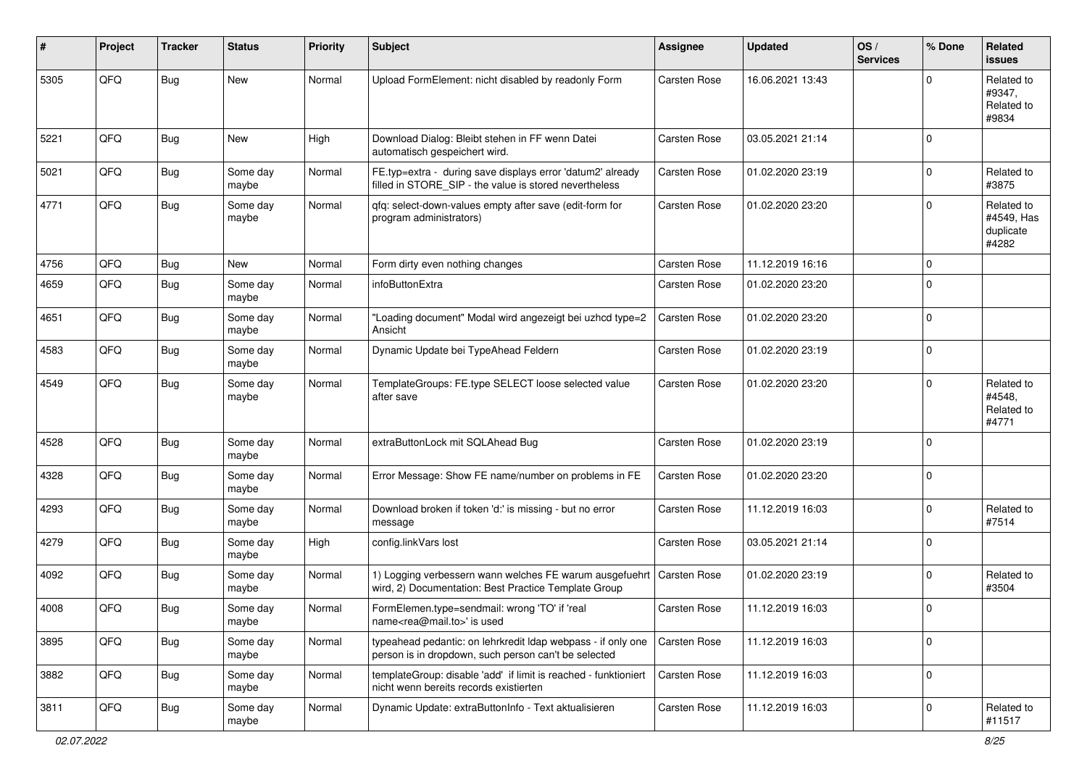| #    | Project | <b>Tracker</b> | <b>Status</b>     | <b>Priority</b> | <b>Subject</b>                                                                                                                 | Assignee            | <b>Updated</b>   | OS/<br><b>Services</b> | % Done      | <b>Related</b><br><b>issues</b>                |
|------|---------|----------------|-------------------|-----------------|--------------------------------------------------------------------------------------------------------------------------------|---------------------|------------------|------------------------|-------------|------------------------------------------------|
| 5305 | QFQ     | <b>Bug</b>     | New               | Normal          | Upload FormElement: nicht disabled by readonly Form                                                                            | Carsten Rose        | 16.06.2021 13:43 |                        | $\Omega$    | Related to<br>#9347,<br>Related to<br>#9834    |
| 5221 | QFQ     | <b>Bug</b>     | New               | High            | Download Dialog: Bleibt stehen in FF wenn Datei<br>automatisch gespeichert wird.                                               | <b>Carsten Rose</b> | 03.05.2021 21:14 |                        | $\Omega$    |                                                |
| 5021 | QFQ     | <b>Bug</b>     | Some day<br>maybe | Normal          | FE.typ=extra - during save displays error 'datum2' already<br>filled in STORE SIP - the value is stored nevertheless           | <b>Carsten Rose</b> | 01.02.2020 23:19 |                        | $\mathbf 0$ | Related to<br>#3875                            |
| 4771 | QFQ     | <b>Bug</b>     | Some day<br>maybe | Normal          | qfq: select-down-values empty after save (edit-form for<br>program administrators)                                             | Carsten Rose        | 01.02.2020 23:20 |                        | $\Omega$    | Related to<br>#4549, Has<br>duplicate<br>#4282 |
| 4756 | QFQ     | <b>Bug</b>     | <b>New</b>        | Normal          | Form dirty even nothing changes                                                                                                | <b>Carsten Rose</b> | 11.12.2019 16:16 |                        | $\mathbf 0$ |                                                |
| 4659 | QFQ     | <b>Bug</b>     | Some day<br>maybe | Normal          | infoButtonExtra                                                                                                                | Carsten Rose        | 01.02.2020 23:20 |                        | $\mathbf 0$ |                                                |
| 4651 | QFQ     | <b>Bug</b>     | Some day<br>maybe | Normal          | "Loading document" Modal wird angezeigt bei uzhcd type=2<br>Ansicht                                                            | Carsten Rose        | 01.02.2020 23:20 |                        | $\mathbf 0$ |                                                |
| 4583 | QFQ     | <b>Bug</b>     | Some day<br>maybe | Normal          | Dynamic Update bei TypeAhead Feldern                                                                                           | Carsten Rose        | 01.02.2020 23:19 |                        | $\mathbf 0$ |                                                |
| 4549 | QFQ     | <b>Bug</b>     | Some day<br>maybe | Normal          | TemplateGroups: FE.type SELECT loose selected value<br>after save                                                              | Carsten Rose        | 01.02.2020 23:20 |                        | $\mathbf 0$ | Related to<br>#4548,<br>Related to<br>#4771    |
| 4528 | QFQ     | <b>Bug</b>     | Some day<br>maybe | Normal          | extraButtonLock mit SQLAhead Bug                                                                                               | Carsten Rose        | 01.02.2020 23:19 |                        | $\mathbf 0$ |                                                |
| 4328 | QFQ     | <b>Bug</b>     | Some day<br>maybe | Normal          | Error Message: Show FE name/number on problems in FE                                                                           | Carsten Rose        | 01.02.2020 23:20 |                        | $\mathbf 0$ |                                                |
| 4293 | QFQ     | <b>Bug</b>     | Some day<br>maybe | Normal          | Download broken if token 'd:' is missing - but no error<br>message                                                             | Carsten Rose        | 11.12.2019 16:03 |                        | $\mathbf 0$ | Related to<br>#7514                            |
| 4279 | QFQ     | <b>Bug</b>     | Some day<br>maybe | High            | config.linkVars lost                                                                                                           | Carsten Rose        | 03.05.2021 21:14 |                        | $\mathbf 0$ |                                                |
| 4092 | QFQ     | <b>Bug</b>     | Some day<br>maybe | Normal          | 1) Logging verbessern wann welches FE warum ausgefuehrt   Carsten Rose<br>wird, 2) Documentation: Best Practice Template Group |                     | 01.02.2020 23:19 |                        | $\mathbf 0$ | Related to<br>#3504                            |
| 4008 | QFQ     | <b>Bug</b>     | Some day<br>maybe | Normal          | FormElemen.type=sendmail: wrong 'TO' if 'real<br>name <rea@mail.to>' is used</rea@mail.to>                                     | <b>Carsten Rose</b> | 11.12.2019 16:03 |                        | $\mathbf 0$ |                                                |
| 3895 | QFG     | <b>Bug</b>     | Some day<br>maybe | Normal          | typeahead pedantic: on lehrkredit Idap webpass - if only one<br>person is in dropdown, such person can't be selected           | Carsten Rose        | 11.12.2019 16:03 |                        | $\mathbf 0$ |                                                |
| 3882 | QFQ     | <b>Bug</b>     | Some day<br>maybe | Normal          | templateGroup: disable 'add' if limit is reached - funktioniert<br>nicht wenn bereits records existierten                      | <b>Carsten Rose</b> | 11.12.2019 16:03 |                        | $\mathbf 0$ |                                                |
| 3811 | QFQ     | <b>Bug</b>     | Some day<br>maybe | Normal          | Dynamic Update: extraButtonInfo - Text aktualisieren                                                                           | Carsten Rose        | 11.12.2019 16:03 |                        | $\mathbf 0$ | Related to<br>#11517                           |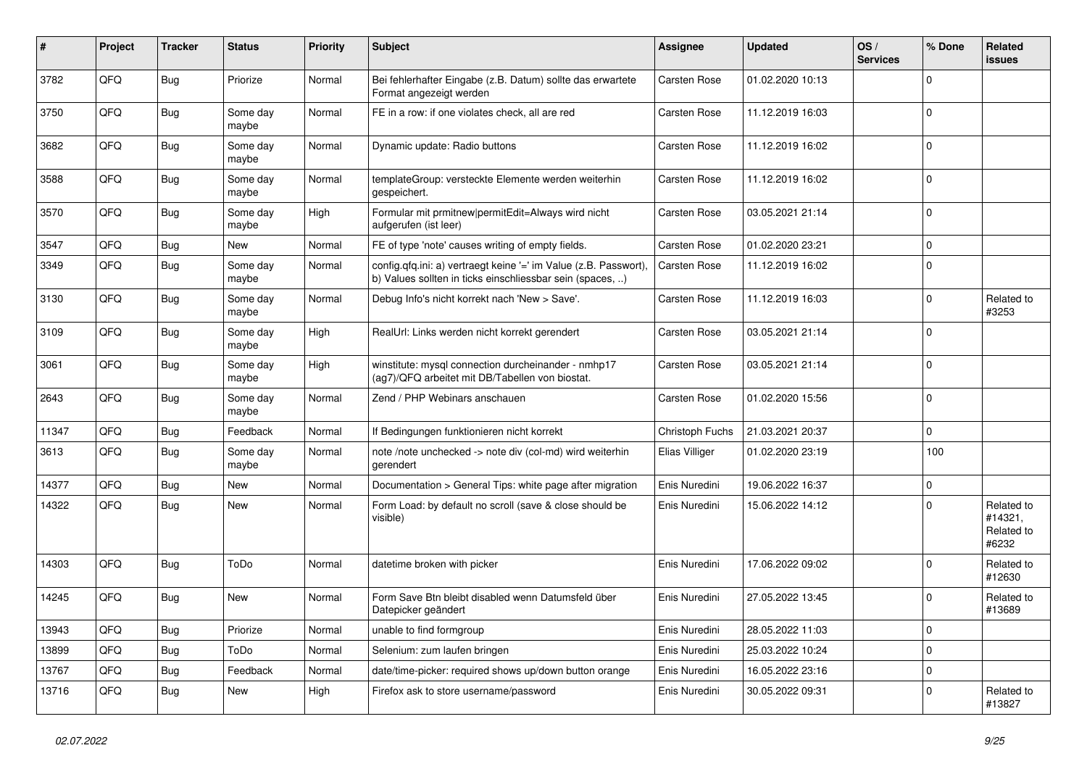| ∦     | <b>Project</b> | Tracker    | <b>Status</b>     | <b>Priority</b> | <b>Subject</b>                                                                                                                | Assignee        | <b>Updated</b>   | OS/<br><b>Services</b> | % Done      | Related<br>issues                            |
|-------|----------------|------------|-------------------|-----------------|-------------------------------------------------------------------------------------------------------------------------------|-----------------|------------------|------------------------|-------------|----------------------------------------------|
| 3782  | QFQ            | Bug        | Priorize          | Normal          | Bei fehlerhafter Eingabe (z.B. Datum) sollte das erwartete<br>Format angezeigt werden                                         | Carsten Rose    | 01.02.2020 10:13 |                        | $\Omega$    |                                              |
| 3750  | QFQ            | <b>Bug</b> | Some day<br>maybe | Normal          | FE in a row: if one violates check, all are red                                                                               | Carsten Rose    | 11.12.2019 16:03 |                        | $\Omega$    |                                              |
| 3682  | QFQ            | <b>Bug</b> | Some day<br>maybe | Normal          | Dynamic update: Radio buttons                                                                                                 | Carsten Rose    | 11.12.2019 16:02 |                        | $\Omega$    |                                              |
| 3588  | QFQ            | Bug        | Some day<br>maybe | Normal          | templateGroup: versteckte Elemente werden weiterhin<br>gespeichert.                                                           | Carsten Rose    | 11.12.2019 16:02 |                        | $\mathbf 0$ |                                              |
| 3570  | QFQ            | <b>Bug</b> | Some day<br>maybe | High            | Formular mit prmitnew   permitEdit=Always wird nicht<br>aufgerufen (ist leer)                                                 | Carsten Rose    | 03.05.2021 21:14 |                        | $\Omega$    |                                              |
| 3547  | QFQ            | <b>Bug</b> | New               | Normal          | FE of type 'note' causes writing of empty fields.                                                                             | Carsten Rose    | 01.02.2020 23:21 |                        | $\mathbf 0$ |                                              |
| 3349  | QFQ            | Bug        | Some day<br>maybe | Normal          | config.qfq.ini: a) vertraegt keine '=' im Value (z.B. Passwort),<br>b) Values sollten in ticks einschliessbar sein (spaces, ) | Carsten Rose    | 11.12.2019 16:02 |                        | $\Omega$    |                                              |
| 3130  | QFQ            | <b>Bug</b> | Some day<br>maybe | Normal          | Debug Info's nicht korrekt nach 'New > Save'.                                                                                 | Carsten Rose    | 11.12.2019 16:03 |                        | $\Omega$    | Related to<br>#3253                          |
| 3109  | QFQ            | <b>Bug</b> | Some day<br>maybe | High            | RealUrl: Links werden nicht korrekt gerendert                                                                                 | Carsten Rose    | 03.05.2021 21:14 |                        | $\Omega$    |                                              |
| 3061  | QFQ            | Bug        | Some day<br>maybe | High            | winstitute: mysql connection durcheinander - nmhp17<br>(ag7)/QFQ arbeitet mit DB/Tabellen von biostat.                        | Carsten Rose    | 03.05.2021 21:14 |                        | $\mathbf 0$ |                                              |
| 2643  | QFQ            | Bug        | Some day<br>maybe | Normal          | Zend / PHP Webinars anschauen                                                                                                 | Carsten Rose    | 01.02.2020 15:56 |                        | $\Omega$    |                                              |
| 11347 | QFQ            | Bug        | Feedback          | Normal          | If Bedingungen funktionieren nicht korrekt                                                                                    | Christoph Fuchs | 21.03.2021 20:37 |                        | $\Omega$    |                                              |
| 3613  | QFQ            | Bug        | Some day<br>maybe | Normal          | note /note unchecked -> note div (col-md) wird weiterhin<br>gerendert                                                         | Elias Villiger  | 01.02.2020 23:19 |                        | 100         |                                              |
| 14377 | QFQ            | Bug        | <b>New</b>        | Normal          | Documentation > General Tips: white page after migration                                                                      | Enis Nuredini   | 19.06.2022 16:37 |                        | $\Omega$    |                                              |
| 14322 | QFQ            | Bug        | New               | Normal          | Form Load: by default no scroll (save & close should be<br>visible)                                                           | Enis Nuredini   | 15.06.2022 14:12 |                        | $\Omega$    | Related to<br>#14321,<br>Related to<br>#6232 |
| 14303 | QFQ            | <b>Bug</b> | ToDo              | Normal          | datetime broken with picker                                                                                                   | Enis Nuredini   | 17.06.2022 09:02 |                        | $\mathbf 0$ | Related to<br>#12630                         |
| 14245 | QFQ            | Bug        | New               | Normal          | Form Save Btn bleibt disabled wenn Datumsfeld über<br>Datepicker geändert                                                     | Enis Nuredini   | 27.05.2022 13:45 |                        | $\Omega$    | Related to<br>#13689                         |
| 13943 | QFQ            | Bug        | Priorize          | Normal          | unable to find formgroup                                                                                                      | Enis Nuredini   | 28.05.2022 11:03 |                        | $\Omega$    |                                              |
| 13899 | QFQ            | <b>Bug</b> | ToDo              | Normal          | Selenium: zum laufen bringen                                                                                                  | Enis Nuredini   | 25.03.2022 10:24 |                        | $\Omega$    |                                              |
| 13767 | QFQ            | <b>Bug</b> | Feedback          | Normal          | date/time-picker: required shows up/down button orange                                                                        | Enis Nuredini   | 16.05.2022 23:16 |                        | $\Omega$    |                                              |
| 13716 | QFQ            | Bug        | <b>New</b>        | High            | Firefox ask to store username/password                                                                                        | Enis Nuredini   | 30.05.2022 09:31 |                        | $\Omega$    | Related to<br>#13827                         |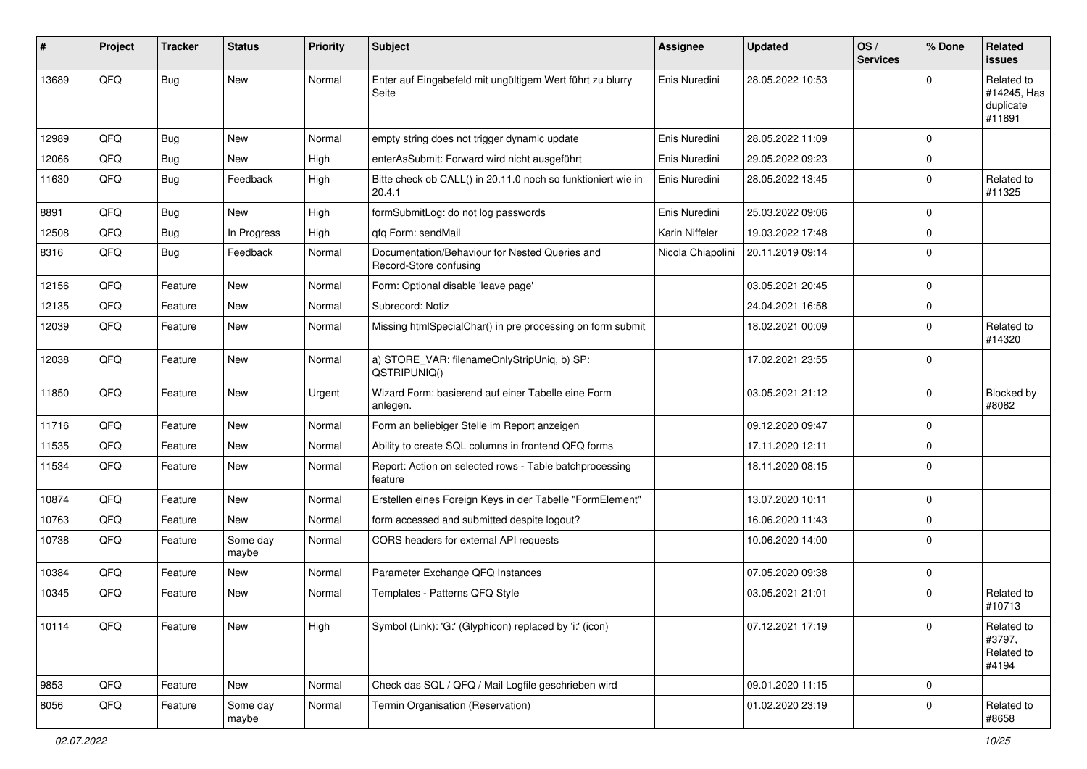| ∦     | Project | <b>Tracker</b> | <b>Status</b>     | <b>Priority</b> | <b>Subject</b>                                                           | <b>Assignee</b>   | <b>Updated</b>   | OS/<br><b>Services</b> | % Done      | Related<br><b>issues</b>                         |
|-------|---------|----------------|-------------------|-----------------|--------------------------------------------------------------------------|-------------------|------------------|------------------------|-------------|--------------------------------------------------|
| 13689 | QFQ     | Bug            | New               | Normal          | Enter auf Eingabefeld mit ungültigem Wert führt zu blurry<br>Seite       | Enis Nuredini     | 28.05.2022 10:53 |                        | $\Omega$    | Related to<br>#14245, Has<br>duplicate<br>#11891 |
| 12989 | QFQ     | Bug            | <b>New</b>        | Normal          | empty string does not trigger dynamic update                             | Enis Nuredini     | 28.05.2022 11:09 |                        | $\Omega$    |                                                  |
| 12066 | QFQ     | <b>Bug</b>     | <b>New</b>        | High            | enterAsSubmit: Forward wird nicht ausgeführt                             | Enis Nuredini     | 29.05.2022 09:23 |                        | $\mathbf 0$ |                                                  |
| 11630 | QFQ     | Bug            | Feedback          | High            | Bitte check ob CALL() in 20.11.0 noch so funktioniert wie in<br>20.4.1   | Enis Nuredini     | 28.05.2022 13:45 |                        | $\Omega$    | Related to<br>#11325                             |
| 8891  | QFQ     | Bug            | <b>New</b>        | High            | formSubmitLog: do not log passwords                                      | Enis Nuredini     | 25.03.2022 09:06 |                        | $\mathbf 0$ |                                                  |
| 12508 | QFQ     | Bug            | In Progress       | High            | gfg Form: sendMail                                                       | Karin Niffeler    | 19.03.2022 17:48 |                        | $\mathbf 0$ |                                                  |
| 8316  | QFQ     | Bug            | Feedback          | Normal          | Documentation/Behaviour for Nested Queries and<br>Record-Store confusing | Nicola Chiapolini | 20.11.2019 09:14 |                        | $\Omega$    |                                                  |
| 12156 | QFQ     | Feature        | <b>New</b>        | Normal          | Form: Optional disable 'leave page'                                      |                   | 03.05.2021 20:45 |                        | $\mathbf 0$ |                                                  |
| 12135 | QFQ     | Feature        | <b>New</b>        | Normal          | Subrecord: Notiz                                                         |                   | 24.04.2021 16:58 |                        | $\mathbf 0$ |                                                  |
| 12039 | QFQ     | Feature        | <b>New</b>        | Normal          | Missing htmlSpecialChar() in pre processing on form submit               |                   | 18.02.2021 00:09 |                        | $\mathbf 0$ | Related to<br>#14320                             |
| 12038 | QFQ     | Feature        | <b>New</b>        | Normal          | a) STORE_VAR: filenameOnlyStripUniq, b) SP:<br>QSTRIPUNIQ()              |                   | 17.02.2021 23:55 |                        | 0           |                                                  |
| 11850 | QFQ     | Feature        | New               | Urgent          | Wizard Form: basierend auf einer Tabelle eine Form<br>anlegen.           |                   | 03.05.2021 21:12 |                        | $\Omega$    | Blocked by<br>#8082                              |
| 11716 | QFQ     | Feature        | New               | Normal          | Form an beliebiger Stelle im Report anzeigen                             |                   | 09.12.2020 09:47 |                        | $\mathbf 0$ |                                                  |
| 11535 | QFQ     | Feature        | <b>New</b>        | Normal          | Ability to create SQL columns in frontend QFQ forms                      |                   | 17.11.2020 12:11 |                        | $\Omega$    |                                                  |
| 11534 | QFQ     | Feature        | New               | Normal          | Report: Action on selected rows - Table batchprocessing<br>feature       |                   | 18.11.2020 08:15 |                        | $\mathbf 0$ |                                                  |
| 10874 | QFQ     | Feature        | <b>New</b>        | Normal          | Erstellen eines Foreign Keys in der Tabelle "FormElement"                |                   | 13.07.2020 10:11 |                        | $\mathbf 0$ |                                                  |
| 10763 | QFQ     | Feature        | New               | Normal          | form accessed and submitted despite logout?                              |                   | 16.06.2020 11:43 |                        | $\mathbf 0$ |                                                  |
| 10738 | QFQ     | Feature        | Some day<br>maybe | Normal          | CORS headers for external API requests                                   |                   | 10.06.2020 14:00 |                        | $\mathbf 0$ |                                                  |
| 10384 | QFQ     | Feature        | New               | Normal          | Parameter Exchange QFQ Instances                                         |                   | 07.05.2020 09:38 |                        | 0           |                                                  |
| 10345 | QFQ     | Feature        | <b>New</b>        | Normal          | Templates - Patterns QFQ Style                                           |                   | 03.05.2021 21:01 |                        | $\Omega$    | Related to<br>#10713                             |
| 10114 | QFQ     | Feature        | New               | High            | Symbol (Link): 'G:' (Glyphicon) replaced by 'i:' (icon)                  |                   | 07.12.2021 17:19 |                        | 0           | Related to<br>#3797,<br>Related to<br>#4194      |
| 9853  | QFQ     | Feature        | New               | Normal          | Check das SQL / QFQ / Mail Logfile geschrieben wird                      |                   | 09.01.2020 11:15 |                        | 0           |                                                  |
| 8056  | QFQ     | Feature        | Some day<br>maybe | Normal          | Termin Organisation (Reservation)                                        |                   | 01.02.2020 23:19 |                        | $\mathbf 0$ | Related to<br>#8658                              |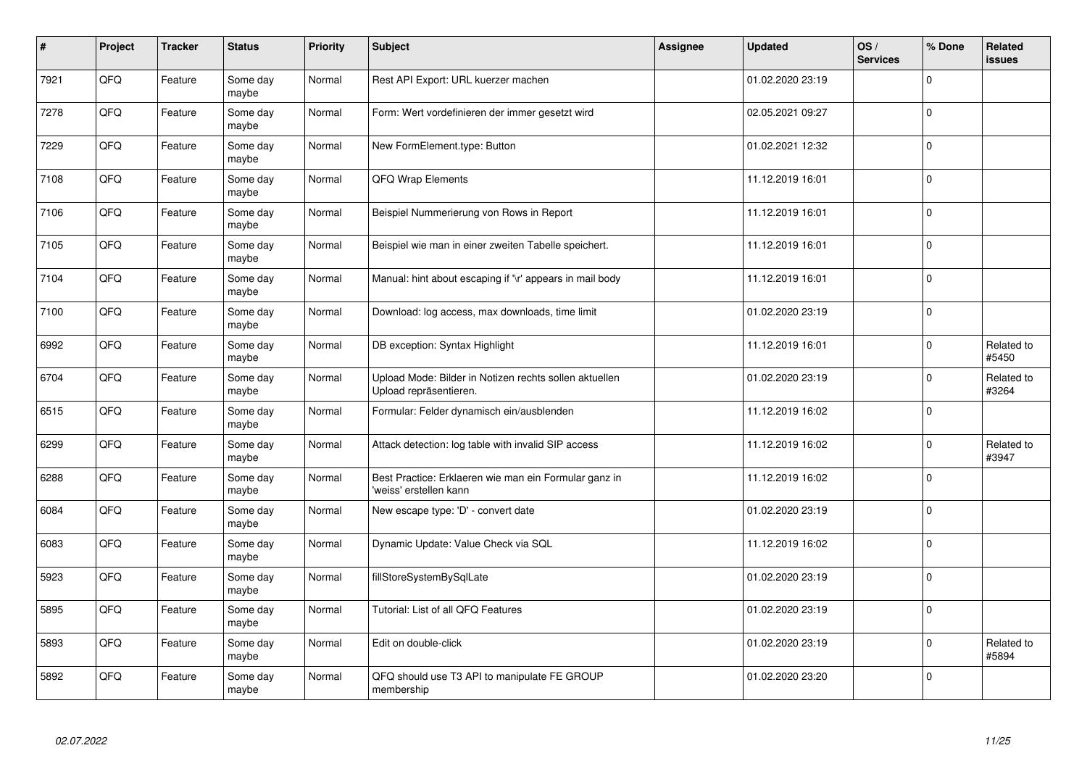| $\vert$ # | Project | <b>Tracker</b> | <b>Status</b>     | <b>Priority</b> | <b>Subject</b>                                                                   | Assignee | <b>Updated</b>   | OS/<br><b>Services</b> | % Done      | Related<br><b>issues</b> |
|-----------|---------|----------------|-------------------|-----------------|----------------------------------------------------------------------------------|----------|------------------|------------------------|-------------|--------------------------|
| 7921      | QFQ     | Feature        | Some day<br>maybe | Normal          | Rest API Export: URL kuerzer machen                                              |          | 01.02.2020 23:19 |                        | $\Omega$    |                          |
| 7278      | QFQ     | Feature        | Some day<br>maybe | Normal          | Form: Wert vordefinieren der immer gesetzt wird                                  |          | 02.05.2021 09:27 |                        | $\Omega$    |                          |
| 7229      | QFQ     | Feature        | Some day<br>maybe | Normal          | New FormElement.type: Button                                                     |          | 01.02.2021 12:32 |                        | $\Omega$    |                          |
| 7108      | QFQ     | Feature        | Some day<br>maybe | Normal          | QFQ Wrap Elements                                                                |          | 11.12.2019 16:01 |                        | $\Omega$    |                          |
| 7106      | QFQ     | Feature        | Some day<br>maybe | Normal          | Beispiel Nummerierung von Rows in Report                                         |          | 11.12.2019 16:01 |                        | $\Omega$    |                          |
| 7105      | QFQ     | Feature        | Some day<br>maybe | Normal          | Beispiel wie man in einer zweiten Tabelle speichert.                             |          | 11.12.2019 16:01 |                        | $\Omega$    |                          |
| 7104      | QFQ     | Feature        | Some day<br>maybe | Normal          | Manual: hint about escaping if '\r' appears in mail body                         |          | 11.12.2019 16:01 |                        | $\Omega$    |                          |
| 7100      | QFQ     | Feature        | Some day<br>maybe | Normal          | Download: log access, max downloads, time limit                                  |          | 01.02.2020 23:19 |                        | $\Omega$    |                          |
| 6992      | QFQ     | Feature        | Some day<br>maybe | Normal          | DB exception: Syntax Highlight                                                   |          | 11.12.2019 16:01 |                        | $\Omega$    | Related to<br>#5450      |
| 6704      | QFQ     | Feature        | Some day<br>maybe | Normal          | Upload Mode: Bilder in Notizen rechts sollen aktuellen<br>Upload repräsentieren. |          | 01.02.2020 23:19 |                        | $\Omega$    | Related to<br>#3264      |
| 6515      | QFQ     | Feature        | Some day<br>maybe | Normal          | Formular: Felder dynamisch ein/ausblenden                                        |          | 11.12.2019 16:02 |                        | $\mathbf 0$ |                          |
| 6299      | QFQ     | Feature        | Some day<br>maybe | Normal          | Attack detection: log table with invalid SIP access                              |          | 11.12.2019 16:02 |                        | $\Omega$    | Related to<br>#3947      |
| 6288      | QFQ     | Feature        | Some day<br>maybe | Normal          | Best Practice: Erklaeren wie man ein Formular ganz in<br>'weiss' erstellen kann  |          | 11.12.2019 16:02 |                        | $\Omega$    |                          |
| 6084      | QFQ     | Feature        | Some day<br>maybe | Normal          | New escape type: 'D' - convert date                                              |          | 01.02.2020 23:19 |                        | $\Omega$    |                          |
| 6083      | QFQ     | Feature        | Some day<br>maybe | Normal          | Dynamic Update: Value Check via SQL                                              |          | 11.12.2019 16:02 |                        | $\Omega$    |                          |
| 5923      | QFQ     | Feature        | Some day<br>maybe | Normal          | fillStoreSystemBySqlLate                                                         |          | 01.02.2020 23:19 |                        | $\Omega$    |                          |
| 5895      | QFQ     | Feature        | Some day<br>maybe | Normal          | Tutorial: List of all QFQ Features                                               |          | 01.02.2020 23:19 |                        | $\Omega$    |                          |
| 5893      | QFQ     | Feature        | Some day<br>maybe | Normal          | Edit on double-click                                                             |          | 01.02.2020 23:19 |                        | $\Omega$    | Related to<br>#5894      |
| 5892      | QFQ     | Feature        | Some day<br>maybe | Normal          | QFQ should use T3 API to manipulate FE GROUP<br>membership                       |          | 01.02.2020 23:20 |                        | $\Omega$    |                          |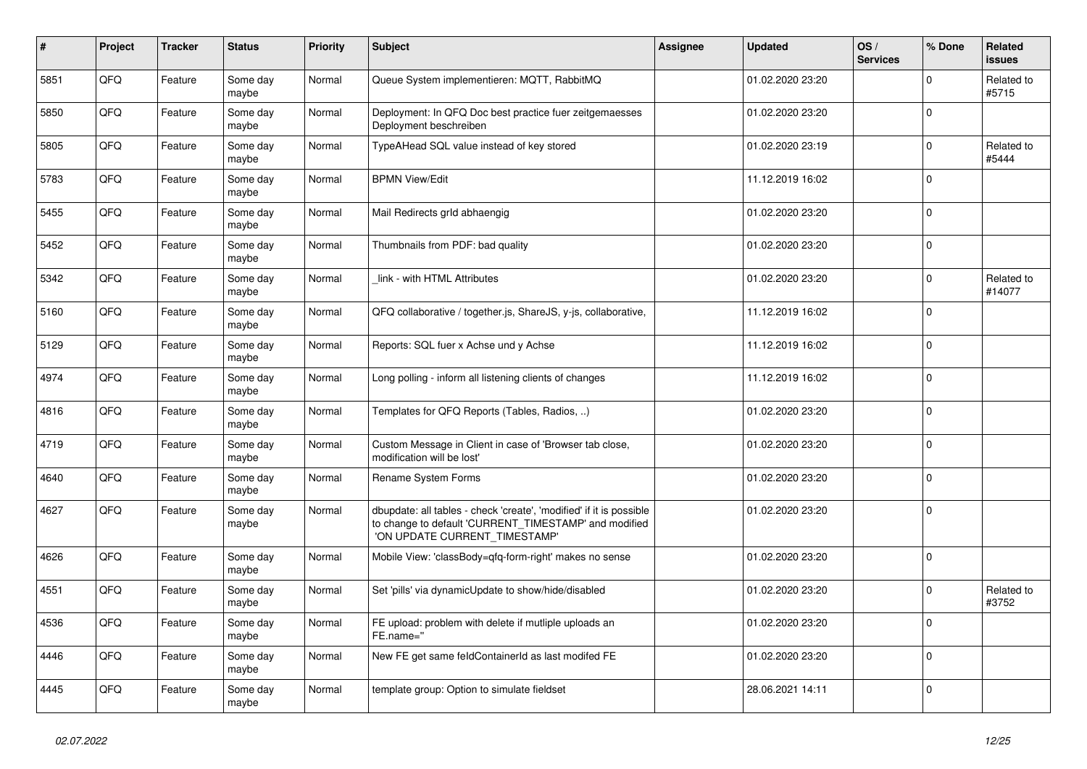| $\pmb{\sharp}$ | <b>Project</b> | <b>Tracker</b> | <b>Status</b>     | <b>Priority</b> | <b>Subject</b>                                                                                                                                                | Assignee | <b>Updated</b>   | OS/<br><b>Services</b> | % Done   | Related<br>issues    |
|----------------|----------------|----------------|-------------------|-----------------|---------------------------------------------------------------------------------------------------------------------------------------------------------------|----------|------------------|------------------------|----------|----------------------|
| 5851           | QFQ            | Feature        | Some day<br>maybe | Normal          | Queue System implementieren: MQTT, RabbitMQ                                                                                                                   |          | 01.02.2020 23:20 |                        | $\Omega$ | Related to<br>#5715  |
| 5850           | QFQ            | Feature        | Some day<br>maybe | Normal          | Deployment: In QFQ Doc best practice fuer zeitgemaesses<br>Deployment beschreiben                                                                             |          | 01.02.2020 23:20 |                        | $\Omega$ |                      |
| 5805           | QFQ            | Feature        | Some day<br>maybe | Normal          | TypeAHead SQL value instead of key stored                                                                                                                     |          | 01.02.2020 23:19 |                        | $\Omega$ | Related to<br>#5444  |
| 5783           | QFQ            | Feature        | Some day<br>maybe | Normal          | <b>BPMN View/Edit</b>                                                                                                                                         |          | 11.12.2019 16:02 |                        | $\Omega$ |                      |
| 5455           | QFQ            | Feature        | Some day<br>maybe | Normal          | Mail Redirects grld abhaengig                                                                                                                                 |          | 01.02.2020 23:20 |                        | $\Omega$ |                      |
| 5452           | QFQ            | Feature        | Some day<br>maybe | Normal          | Thumbnails from PDF: bad quality                                                                                                                              |          | 01.02.2020 23:20 |                        | $\Omega$ |                      |
| 5342           | QFQ            | Feature        | Some day<br>maybe | Normal          | link - with HTML Attributes                                                                                                                                   |          | 01.02.2020 23:20 |                        | $\Omega$ | Related to<br>#14077 |
| 5160           | QFQ            | Feature        | Some day<br>maybe | Normal          | QFQ collaborative / together.js, ShareJS, y-js, collaborative,                                                                                                |          | 11.12.2019 16:02 |                        | $\Omega$ |                      |
| 5129           | QFQ            | Feature        | Some day<br>maybe | Normal          | Reports: SQL fuer x Achse und y Achse                                                                                                                         |          | 11.12.2019 16:02 |                        | $\Omega$ |                      |
| 4974           | QFQ            | Feature        | Some day<br>maybe | Normal          | Long polling - inform all listening clients of changes                                                                                                        |          | 11.12.2019 16:02 |                        | $\Omega$ |                      |
| 4816           | QFQ            | Feature        | Some day<br>maybe | Normal          | Templates for QFQ Reports (Tables, Radios, )                                                                                                                  |          | 01.02.2020 23:20 |                        | $\Omega$ |                      |
| 4719           | QFQ            | Feature        | Some day<br>maybe | Normal          | Custom Message in Client in case of 'Browser tab close,<br>modification will be lost'                                                                         |          | 01.02.2020 23:20 |                        | $\Omega$ |                      |
| 4640           | QFQ            | Feature        | Some day<br>maybe | Normal          | Rename System Forms                                                                                                                                           |          | 01.02.2020 23:20 |                        | $\Omega$ |                      |
| 4627           | QFQ            | Feature        | Some day<br>maybe | Normal          | dbupdate: all tables - check 'create', 'modified' if it is possible<br>to change to default 'CURRENT_TIMESTAMP' and modified<br>'ON UPDATE CURRENT_TIMESTAMP' |          | 01.02.2020 23:20 |                        | $\Omega$ |                      |
| 4626           | QFQ            | Feature        | Some day<br>maybe | Normal          | Mobile View: 'classBody=qfq-form-right' makes no sense                                                                                                        |          | 01.02.2020 23:20 |                        | $\Omega$ |                      |
| 4551           | QFQ            | Feature        | Some day<br>maybe | Normal          | Set 'pills' via dynamicUpdate to show/hide/disabled                                                                                                           |          | 01.02.2020 23:20 |                        | 0        | Related to<br>#3752  |
| 4536           | QFQ            | Feature        | Some day<br>maybe | Normal          | FE upload: problem with delete if mutliple uploads an<br>FE.name="                                                                                            |          | 01.02.2020 23:20 |                        | $\Omega$ |                      |
| 4446           | QFQ            | Feature        | Some day<br>maybe | Normal          | New FE get same feldContainerId as last modifed FE                                                                                                            |          | 01.02.2020 23:20 |                        | $\Omega$ |                      |
| 4445           | QFQ            | Feature        | Some day<br>maybe | Normal          | template group: Option to simulate fieldset                                                                                                                   |          | 28.06.2021 14:11 |                        | $\Omega$ |                      |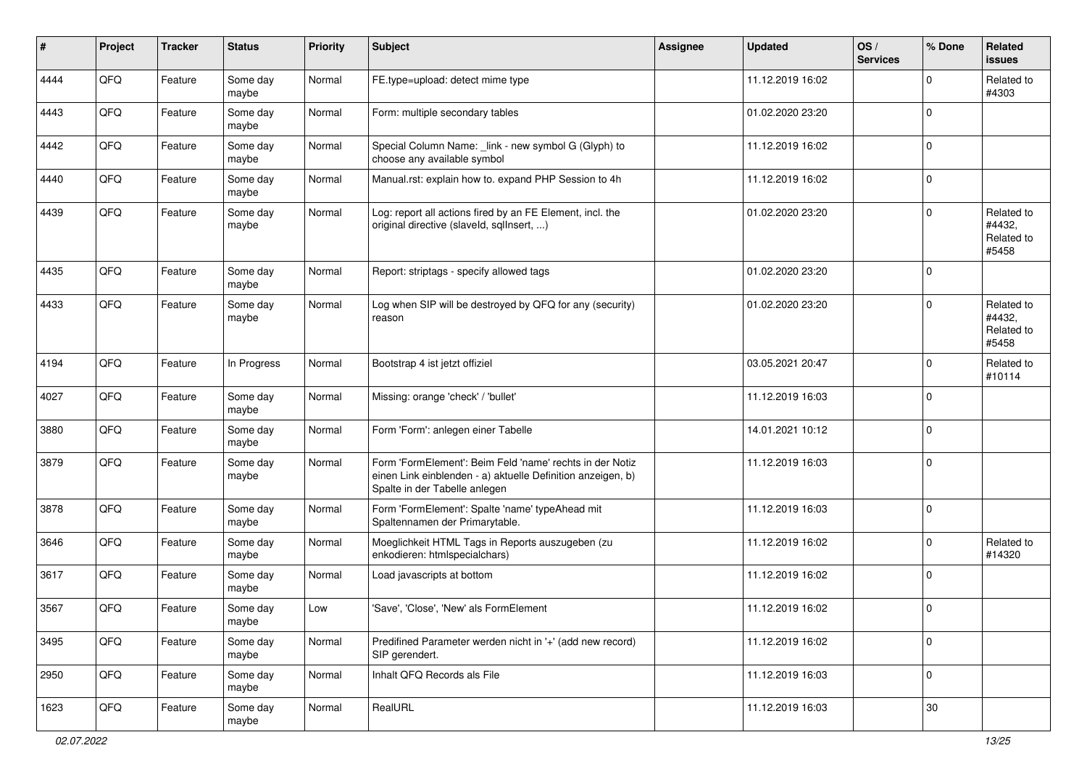| #    | Project | <b>Tracker</b> | <b>Status</b>     | <b>Priority</b> | <b>Subject</b>                                                                                                                                           | <b>Assignee</b> | <b>Updated</b>   | OS/<br><b>Services</b> | % Done         | Related<br><b>issues</b>                    |
|------|---------|----------------|-------------------|-----------------|----------------------------------------------------------------------------------------------------------------------------------------------------------|-----------------|------------------|------------------------|----------------|---------------------------------------------|
| 4444 | QFQ     | Feature        | Some day<br>maybe | Normal          | FE.type=upload: detect mime type                                                                                                                         |                 | 11.12.2019 16:02 |                        | $\Omega$       | Related to<br>#4303                         |
| 4443 | QFQ     | Feature        | Some day<br>maybe | Normal          | Form: multiple secondary tables                                                                                                                          |                 | 01.02.2020 23:20 |                        | $\overline{0}$ |                                             |
| 4442 | QFQ     | Feature        | Some day<br>maybe | Normal          | Special Column Name: _link - new symbol G (Glyph) to<br>choose any available symbol                                                                      |                 | 11.12.2019 16:02 |                        | $\mathbf 0$    |                                             |
| 4440 | QFQ     | Feature        | Some day<br>maybe | Normal          | Manual.rst: explain how to. expand PHP Session to 4h                                                                                                     |                 | 11.12.2019 16:02 |                        | $\mathbf 0$    |                                             |
| 4439 | QFQ     | Feature        | Some day<br>maybe | Normal          | Log: report all actions fired by an FE Element, incl. the<br>original directive (slaveld, sqlInsert, )                                                   |                 | 01.02.2020 23:20 |                        | $\mathbf 0$    | Related to<br>#4432,<br>Related to<br>#5458 |
| 4435 | QFQ     | Feature        | Some day<br>maybe | Normal          | Report: striptags - specify allowed tags                                                                                                                 |                 | 01.02.2020 23:20 |                        | $\Omega$       |                                             |
| 4433 | QFQ     | Feature        | Some day<br>maybe | Normal          | Log when SIP will be destroyed by QFQ for any (security)<br>reason                                                                                       |                 | 01.02.2020 23:20 |                        | $\mathbf 0$    | Related to<br>#4432,<br>Related to<br>#5458 |
| 4194 | QFQ     | Feature        | In Progress       | Normal          | Bootstrap 4 ist jetzt offiziel                                                                                                                           |                 | 03.05.2021 20:47 |                        | $\Omega$       | Related to<br>#10114                        |
| 4027 | QFQ     | Feature        | Some day<br>maybe | Normal          | Missing: orange 'check' / 'bullet'                                                                                                                       |                 | 11.12.2019 16:03 |                        | $\mathbf 0$    |                                             |
| 3880 | QFQ     | Feature        | Some day<br>maybe | Normal          | Form 'Form': anlegen einer Tabelle                                                                                                                       |                 | 14.01.2021 10:12 |                        | $\mathbf 0$    |                                             |
| 3879 | QFQ     | Feature        | Some day<br>maybe | Normal          | Form 'FormElement': Beim Feld 'name' rechts in der Notiz<br>einen Link einblenden - a) aktuelle Definition anzeigen, b)<br>Spalte in der Tabelle anlegen |                 | 11.12.2019 16:03 |                        | $\mathbf 0$    |                                             |
| 3878 | QFQ     | Feature        | Some day<br>maybe | Normal          | Form 'FormElement': Spalte 'name' typeAhead mit<br>Spaltennamen der Primarytable.                                                                        |                 | 11.12.2019 16:03 |                        | $\mathbf 0$    |                                             |
| 3646 | QFQ     | Feature        | Some day<br>maybe | Normal          | Moeglichkeit HTML Tags in Reports auszugeben (zu<br>enkodieren: htmlspecialchars)                                                                        |                 | 11.12.2019 16:02 |                        | $\Omega$       | Related to<br>#14320                        |
| 3617 | QFQ     | Feature        | Some day<br>maybe | Normal          | Load javascripts at bottom                                                                                                                               |                 | 11.12.2019 16:02 |                        | 0              |                                             |
| 3567 | QFQ     | Feature        | Some day<br>maybe | Low             | 'Save', 'Close', 'New' als FormElement                                                                                                                   |                 | 11.12.2019 16:02 |                        | 0              |                                             |
| 3495 | QFG     | Feature        | Some day<br>maybe | Normal          | Predifined Parameter werden nicht in '+' (add new record)<br>SIP gerendert.                                                                              |                 | 11.12.2019 16:02 |                        | $\mathbf 0$    |                                             |
| 2950 | QFQ     | Feature        | Some day<br>maybe | Normal          | Inhalt QFQ Records als File                                                                                                                              |                 | 11.12.2019 16:03 |                        | 0              |                                             |
| 1623 | QFQ     | Feature        | Some day<br>maybe | Normal          | RealURL                                                                                                                                                  |                 | 11.12.2019 16:03 |                        | 30             |                                             |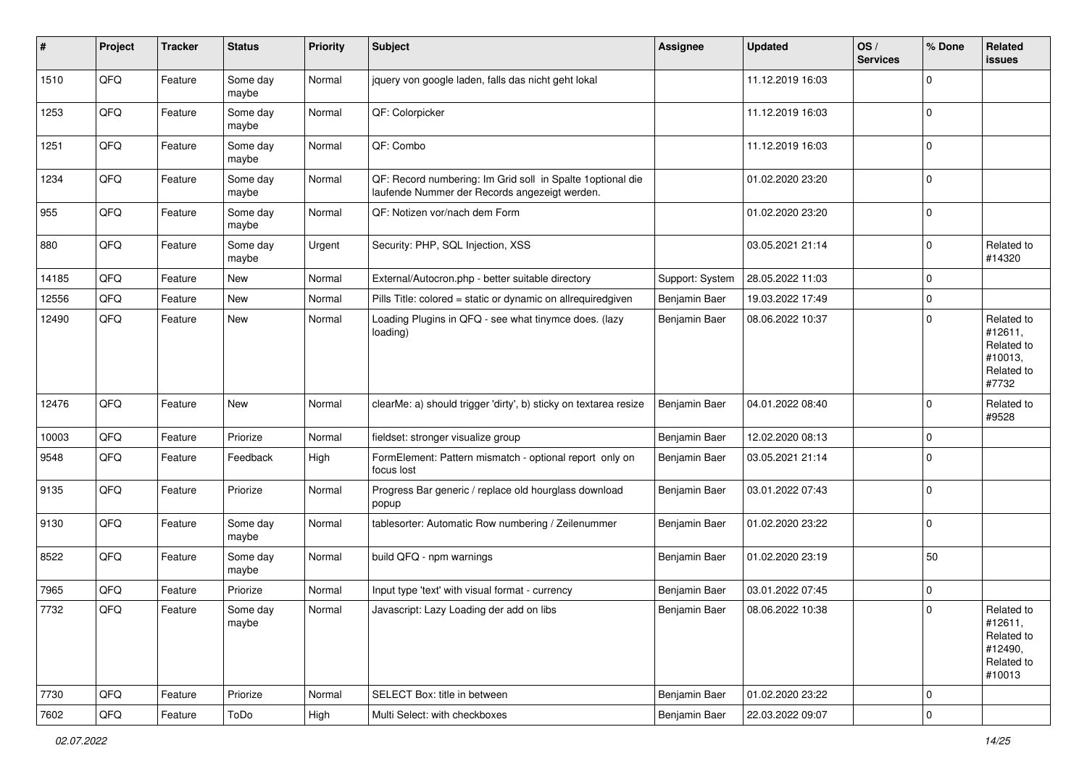| $\sharp$ | Project | <b>Tracker</b> | <b>Status</b>     | <b>Priority</b> | <b>Subject</b>                                                                                               | <b>Assignee</b> | <b>Updated</b>   | OS/<br><b>Services</b> | % Done       | Related<br><b>issues</b>                                               |
|----------|---------|----------------|-------------------|-----------------|--------------------------------------------------------------------------------------------------------------|-----------------|------------------|------------------------|--------------|------------------------------------------------------------------------|
| 1510     | QFQ     | Feature        | Some day<br>maybe | Normal          | jquery von google laden, falls das nicht geht lokal                                                          |                 | 11.12.2019 16:03 |                        | $\Omega$     |                                                                        |
| 1253     | QFQ     | Feature        | Some day<br>maybe | Normal          | QF: Colorpicker                                                                                              |                 | 11.12.2019 16:03 |                        | l 0          |                                                                        |
| 1251     | QFQ     | Feature        | Some day<br>maybe | Normal          | QF: Combo                                                                                                    |                 | 11.12.2019 16:03 |                        | $\Omega$     |                                                                        |
| 1234     | QFQ     | Feature        | Some day<br>maybe | Normal          | QF: Record numbering: Im Grid soll in Spalte 1 optional die<br>laufende Nummer der Records angezeigt werden. |                 | 01.02.2020 23:20 |                        | $\mathbf 0$  |                                                                        |
| 955      | QFQ     | Feature        | Some day<br>maybe | Normal          | QF: Notizen vor/nach dem Form                                                                                |                 | 01.02.2020 23:20 |                        | l 0          |                                                                        |
| 880      | QFQ     | Feature        | Some day<br>maybe | Urgent          | Security: PHP, SQL Injection, XSS                                                                            |                 | 03.05.2021 21:14 |                        | $\Omega$     | Related to<br>#14320                                                   |
| 14185    | QFQ     | Feature        | New               | Normal          | External/Autocron.php - better suitable directory                                                            | Support: System | 28.05.2022 11:03 |                        | $\mathbf 0$  |                                                                        |
| 12556    | QFQ     | Feature        | New               | Normal          | Pills Title: colored = static or dynamic on allrequiredgiven                                                 | Benjamin Baer   | 19.03.2022 17:49 |                        | $\mathbf 0$  |                                                                        |
| 12490    | QFQ     | Feature        | <b>New</b>        | Normal          | Loading Plugins in QFQ - see what tinymce does. (lazy<br>loading)                                            | Benjamin Baer   | 08.06.2022 10:37 |                        | $\Omega$     | Related to<br>#12611,<br>Related to<br>#10013,<br>Related to<br>#7732  |
| 12476    | QFQ     | Feature        | New               | Normal          | clearMe: a) should trigger 'dirty', b) sticky on textarea resize                                             | Benjamin Baer   | 04.01.2022 08:40 |                        | $\Omega$     | Related to<br>#9528                                                    |
| 10003    | QFQ     | Feature        | Priorize          | Normal          | fieldset: stronger visualize group                                                                           | Benjamin Baer   | 12.02.2020 08:13 |                        | $\mathbf 0$  |                                                                        |
| 9548     | QFQ     | Feature        | Feedback          | High            | FormElement: Pattern mismatch - optional report only on<br>focus lost                                        | Benjamin Baer   | 03.05.2021 21:14 |                        | $\Omega$     |                                                                        |
| 9135     | QFQ     | Feature        | Priorize          | Normal          | Progress Bar generic / replace old hourglass download<br>popup                                               | Benjamin Baer   | 03.01.2022 07:43 |                        | $\Omega$     |                                                                        |
| 9130     | QFQ     | Feature        | Some day<br>maybe | Normal          | tablesorter: Automatic Row numbering / Zeilenummer                                                           | Benjamin Baer   | 01.02.2020 23:22 |                        | $\mathbf{0}$ |                                                                        |
| 8522     | QFQ     | Feature        | Some day<br>maybe | Normal          | build QFQ - npm warnings                                                                                     | Benjamin Baer   | 01.02.2020 23:19 |                        | 50           |                                                                        |
| 7965     | QFQ     | Feature        | Priorize          | Normal          | Input type 'text' with visual format - currency                                                              | Benjamin Baer   | 03.01.2022 07:45 |                        | $\mathbf 0$  |                                                                        |
| 7732     | QFQ     | Feature        | Some day<br>maybe | Normal          | Javascript: Lazy Loading der add on libs                                                                     | Benjamin Baer   | 08.06.2022 10:38 |                        | $\Omega$     | Related to<br>#12611,<br>Related to<br>#12490,<br>Related to<br>#10013 |
| 7730     | QFQ     | Feature        | Priorize          | Normal          | SELECT Box: title in between                                                                                 | Benjamin Baer   | 01.02.2020 23:22 |                        | $\mathbf 0$  |                                                                        |
| 7602     | QFQ     | Feature        | ToDo              | High            | Multi Select: with checkboxes                                                                                | Benjamin Baer   | 22.03.2022 09:07 |                        | 0            |                                                                        |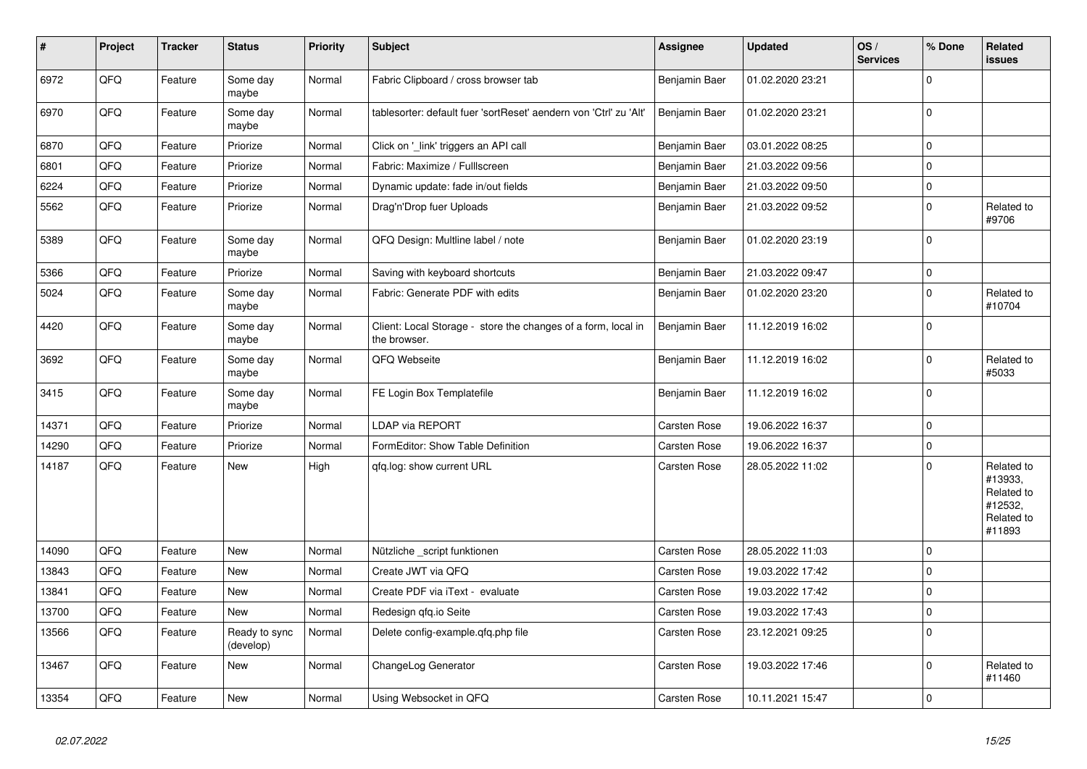| $\vert$ # | Project | <b>Tracker</b> | <b>Status</b>              | <b>Priority</b> | Subject                                                                       | Assignee      | <b>Updated</b>   | OS/<br><b>Services</b> | % Done      | Related<br><b>issues</b>                                               |
|-----------|---------|----------------|----------------------------|-----------------|-------------------------------------------------------------------------------|---------------|------------------|------------------------|-------------|------------------------------------------------------------------------|
| 6972      | QFQ     | Feature        | Some day<br>maybe          | Normal          | Fabric Clipboard / cross browser tab                                          | Benjamin Baer | 01.02.2020 23:21 |                        | $\Omega$    |                                                                        |
| 6970      | QFQ     | Feature        | Some day<br>maybe          | Normal          | tablesorter: default fuer 'sortReset' aendern von 'Ctrl' zu 'Alt'             | Benjamin Baer | 01.02.2020 23:21 |                        | $\mathbf 0$ |                                                                        |
| 6870      | QFQ     | Feature        | Priorize                   | Normal          | Click on '_link' triggers an API call                                         | Benjamin Baer | 03.01.2022 08:25 |                        | $\mathbf 0$ |                                                                        |
| 6801      | QFQ     | Feature        | Priorize                   | Normal          | Fabric: Maximize / Fulllscreen                                                | Benjamin Baer | 21.03.2022 09:56 |                        | $\mathbf 0$ |                                                                        |
| 6224      | QFQ     | Feature        | Priorize                   | Normal          | Dynamic update: fade in/out fields                                            | Benjamin Baer | 21.03.2022 09:50 |                        | $\mathbf 0$ |                                                                        |
| 5562      | QFQ     | Feature        | Priorize                   | Normal          | Drag'n'Drop fuer Uploads                                                      | Benjamin Baer | 21.03.2022 09:52 |                        | $\mathbf 0$ | Related to<br>#9706                                                    |
| 5389      | QFQ     | Feature        | Some day<br>maybe          | Normal          | QFQ Design: Multline label / note                                             | Benjamin Baer | 01.02.2020 23:19 |                        | $\mathbf 0$ |                                                                        |
| 5366      | QFQ     | Feature        | Priorize                   | Normal          | Saving with keyboard shortcuts                                                | Benjamin Baer | 21.03.2022 09:47 |                        | $\pmb{0}$   |                                                                        |
| 5024      | QFQ     | Feature        | Some day<br>maybe          | Normal          | Fabric: Generate PDF with edits                                               | Benjamin Baer | 01.02.2020 23:20 |                        | $\mathbf 0$ | Related to<br>#10704                                                   |
| 4420      | QFQ     | Feature        | Some day<br>maybe          | Normal          | Client: Local Storage - store the changes of a form, local in<br>the browser. | Benjamin Baer | 11.12.2019 16:02 |                        | 0           |                                                                        |
| 3692      | QFQ     | Feature        | Some day<br>maybe          | Normal          | QFQ Webseite                                                                  | Benjamin Baer | 11.12.2019 16:02 |                        | $\mathbf 0$ | Related to<br>#5033                                                    |
| 3415      | QFQ     | Feature        | Some day<br>maybe          | Normal          | FE Login Box Templatefile                                                     | Benjamin Baer | 11.12.2019 16:02 |                        | 0           |                                                                        |
| 14371     | QFQ     | Feature        | Priorize                   | Normal          | LDAP via REPORT                                                               | Carsten Rose  | 19.06.2022 16:37 |                        | $\pmb{0}$   |                                                                        |
| 14290     | QFQ     | Feature        | Priorize                   | Normal          | FormEditor: Show Table Definition                                             | Carsten Rose  | 19.06.2022 16:37 |                        | $\pmb{0}$   |                                                                        |
| 14187     | QFQ     | Feature        | New                        | High            | qfq.log: show current URL                                                     | Carsten Rose  | 28.05.2022 11:02 |                        | $\mathbf 0$ | Related to<br>#13933,<br>Related to<br>#12532,<br>Related to<br>#11893 |
| 14090     | QFQ     | Feature        | <b>New</b>                 | Normal          | Nützliche _script funktionen                                                  | Carsten Rose  | 28.05.2022 11:03 |                        | $\mathbf 0$ |                                                                        |
| 13843     | QFQ     | Feature        | New                        | Normal          | Create JWT via QFQ                                                            | Carsten Rose  | 19.03.2022 17:42 |                        | $\mathbf 0$ |                                                                        |
| 13841     | QFQ     | Feature        | <b>New</b>                 | Normal          | Create PDF via iText - evaluate                                               | Carsten Rose  | 19.03.2022 17:42 |                        | $\mathbf 0$ |                                                                        |
| 13700     | QFQ     | Feature        | New                        | Normal          | Redesign gfg.io Seite                                                         | Carsten Rose  | 19.03.2022 17:43 |                        | $\pmb{0}$   |                                                                        |
| 13566     | QFQ     | Feature        | Ready to sync<br>(develop) | Normal          | Delete config-example.gfg.php file                                            | Carsten Rose  | 23.12.2021 09:25 |                        | $\mathbf 0$ |                                                                        |
| 13467     | QFQ     | Feature        | <b>New</b>                 | Normal          | ChangeLog Generator                                                           | Carsten Rose  | 19.03.2022 17:46 |                        | $\Omega$    | Related to<br>#11460                                                   |
| 13354     | QFQ     | Feature        | <b>New</b>                 | Normal          | Using Websocket in QFQ                                                        | Carsten Rose  | 10.11.2021 15:47 |                        | $\mathbf 0$ |                                                                        |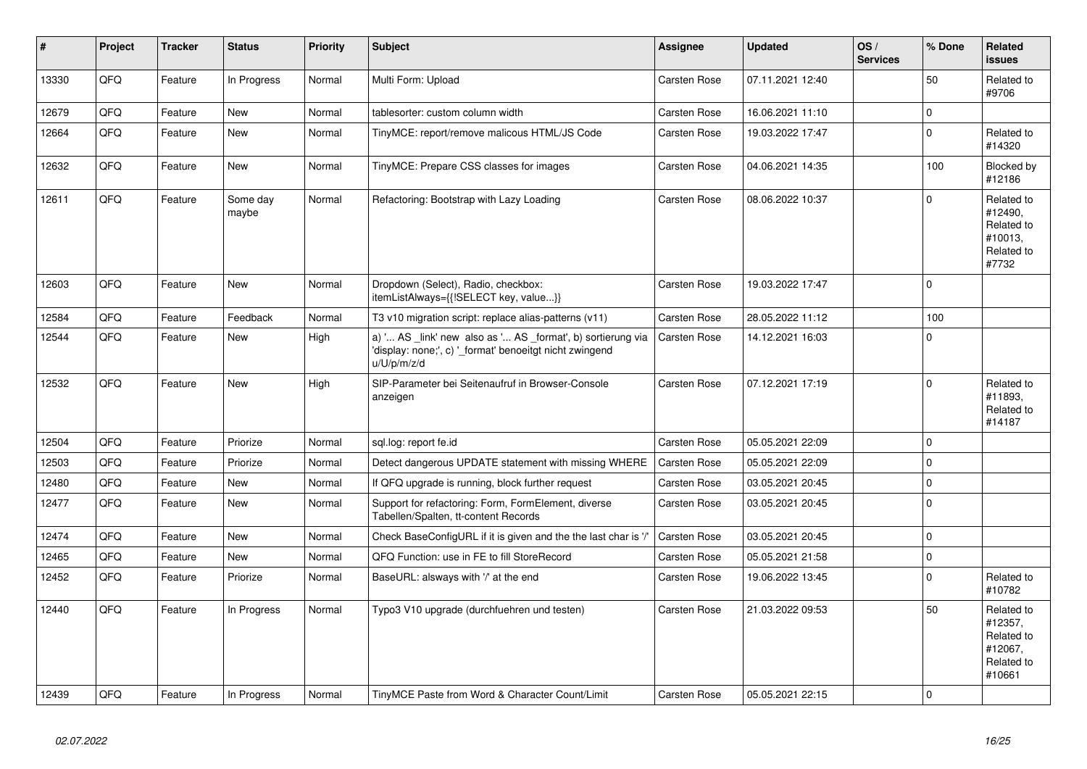| #     | Project | <b>Tracker</b> | <b>Status</b>     | <b>Priority</b> | <b>Subject</b>                                                                                                                        | <b>Assignee</b>     | <b>Updated</b>   | OS/<br><b>Services</b> | % Done      | Related<br><b>issues</b>                                               |
|-------|---------|----------------|-------------------|-----------------|---------------------------------------------------------------------------------------------------------------------------------------|---------------------|------------------|------------------------|-------------|------------------------------------------------------------------------|
| 13330 | QFQ     | Feature        | In Progress       | Normal          | Multi Form: Upload                                                                                                                    | Carsten Rose        | 07.11.2021 12:40 |                        | 50          | Related to<br>#9706                                                    |
| 12679 | QFQ     | Feature        | <b>New</b>        | Normal          | tablesorter: custom column width                                                                                                      | Carsten Rose        | 16.06.2021 11:10 |                        | $\pmb{0}$   |                                                                        |
| 12664 | QFQ     | Feature        | <b>New</b>        | Normal          | TinyMCE: report/remove malicous HTML/JS Code                                                                                          | Carsten Rose        | 19.03.2022 17:47 |                        | $\Omega$    | Related to<br>#14320                                                   |
| 12632 | QFQ     | Feature        | <b>New</b>        | Normal          | TinyMCE: Prepare CSS classes for images                                                                                               | Carsten Rose        | 04.06.2021 14:35 |                        | 100         | Blocked by<br>#12186                                                   |
| 12611 | QFQ     | Feature        | Some day<br>maybe | Normal          | Refactoring: Bootstrap with Lazy Loading                                                                                              | Carsten Rose        | 08.06.2022 10:37 |                        | $\Omega$    | Related to<br>#12490,<br>Related to<br>#10013,<br>Related to<br>#7732  |
| 12603 | QFQ     | Feature        | <b>New</b>        | Normal          | Dropdown (Select), Radio, checkbox:<br>itemListAlways={{!SELECT key, value}}                                                          | Carsten Rose        | 19.03.2022 17:47 |                        | $\Omega$    |                                                                        |
| 12584 | QFQ     | Feature        | Feedback          | Normal          | T3 v10 migration script: replace alias-patterns (v11)                                                                                 | Carsten Rose        | 28.05.2022 11:12 |                        | 100         |                                                                        |
| 12544 | QFQ     | Feature        | <b>New</b>        | High            | a) ' AS _link' new also as ' AS _format', b) sortierung via<br>'display: none;', c) ' format' benoeitgt nicht zwingend<br>u/U/p/m/z/d | <b>Carsten Rose</b> | 14.12.2021 16:03 |                        | $\Omega$    |                                                                        |
| 12532 | QFQ     | Feature        | <b>New</b>        | High            | SIP-Parameter bei Seitenaufruf in Browser-Console<br>anzeigen                                                                         | Carsten Rose        | 07.12.2021 17:19 |                        | $\Omega$    | Related to<br>#11893,<br>Related to<br>#14187                          |
| 12504 | QFQ     | Feature        | Priorize          | Normal          | sql.log: report fe.id                                                                                                                 | <b>Carsten Rose</b> | 05.05.2021 22:09 |                        | $\mathbf 0$ |                                                                        |
| 12503 | QFQ     | Feature        | Priorize          | Normal          | Detect dangerous UPDATE statement with missing WHERE                                                                                  | <b>Carsten Rose</b> | 05.05.2021 22:09 |                        | $\Omega$    |                                                                        |
| 12480 | QFQ     | Feature        | <b>New</b>        | Normal          | If QFQ upgrade is running, block further request                                                                                      | Carsten Rose        | 03.05.2021 20:45 |                        | $\Omega$    |                                                                        |
| 12477 | QFQ     | Feature        | New               | Normal          | Support for refactoring: Form, FormElement, diverse<br>Tabellen/Spalten, tt-content Records                                           | Carsten Rose        | 03.05.2021 20:45 |                        | $\Omega$    |                                                                        |
| 12474 | QFQ     | Feature        | <b>New</b>        | Normal          | Check BaseConfigURL if it is given and the the last char is '/'                                                                       | Carsten Rose        | 03.05.2021 20:45 |                        | $\Omega$    |                                                                        |
| 12465 | QFQ     | Feature        | <b>New</b>        | Normal          | QFQ Function: use in FE to fill StoreRecord                                                                                           | Carsten Rose        | 05.05.2021 21:58 |                        | $\pmb{0}$   |                                                                        |
| 12452 | QFQ     | Feature        | Priorize          | Normal          | BaseURL: alsways with '/' at the end                                                                                                  | Carsten Rose        | 19.06.2022 13:45 |                        | $\Omega$    | Related to<br>#10782                                                   |
| 12440 | QFQ     | Feature        | In Progress       | Normal          | Typo3 V10 upgrade (durchfuehren und testen)                                                                                           | Carsten Rose        | 21.03.2022 09:53 |                        | 50          | Related to<br>#12357,<br>Related to<br>#12067,<br>Related to<br>#10661 |
| 12439 | QFQ     | Feature        | In Progress       | Normal          | TinyMCE Paste from Word & Character Count/Limit                                                                                       | <b>Carsten Rose</b> | 05.05.2021 22:15 |                        | $\Omega$    |                                                                        |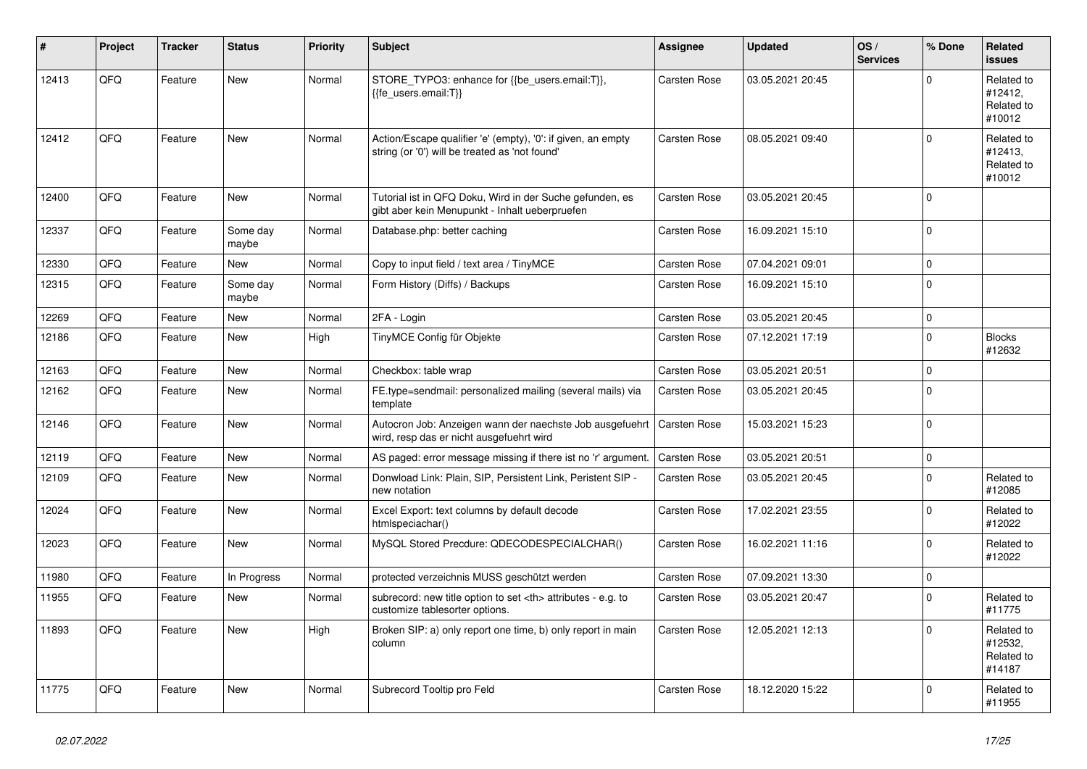| ∦     | Project | <b>Tracker</b> | <b>Status</b>     | <b>Priority</b> | <b>Subject</b>                                                                                                 | <b>Assignee</b>                                        | <b>Updated</b>   | OS/<br><b>Services</b> | % Done      | Related<br><b>issues</b>                      |                      |
|-------|---------|----------------|-------------------|-----------------|----------------------------------------------------------------------------------------------------------------|--------------------------------------------------------|------------------|------------------------|-------------|-----------------------------------------------|----------------------|
| 12413 | QFQ     | Feature        | <b>New</b>        | Normal          | STORE_TYPO3: enhance for {{be_users.email:T}},<br>{{fe users.email:T}}                                         | Carsten Rose                                           | 03.05.2021 20:45 |                        | $\Omega$    | Related to<br>#12412,<br>Related to<br>#10012 |                      |
| 12412 | QFQ     | Feature        | <b>New</b>        | Normal          | Action/Escape qualifier 'e' (empty), '0': if given, an empty<br>string (or '0') will be treated as 'not found' | Carsten Rose                                           | 08.05.2021 09:40 |                        | $\Omega$    | Related to<br>#12413,<br>Related to<br>#10012 |                      |
| 12400 | QFQ     | Feature        | <b>New</b>        | Normal          | Tutorial ist in QFQ Doku, Wird in der Suche gefunden, es<br>gibt aber kein Menupunkt - Inhalt ueberpruefen     | Carsten Rose                                           | 03.05.2021 20:45 |                        | $\Omega$    |                                               |                      |
| 12337 | QFQ     | Feature        | Some day<br>maybe | Normal          | Database.php: better caching                                                                                   | Carsten Rose                                           | 16.09.2021 15:10 |                        | $\Omega$    |                                               |                      |
| 12330 | QFQ     | Feature        | <b>New</b>        | Normal          | Copy to input field / text area / TinyMCE                                                                      | Carsten Rose                                           | 07.04.2021 09:01 |                        | $\Omega$    |                                               |                      |
| 12315 | QFQ     | Feature        | Some day<br>maybe | Normal          | Form History (Diffs) / Backups                                                                                 | Carsten Rose                                           | 16.09.2021 15:10 |                        | $\Omega$    |                                               |                      |
| 12269 | QFQ     | Feature        | <b>New</b>        | Normal          | 2FA - Login                                                                                                    | Carsten Rose                                           | 03.05.2021 20:45 |                        | $\mathbf 0$ |                                               |                      |
| 12186 | QFQ     | Feature        | <b>New</b>        | High            | TinyMCE Config für Objekte                                                                                     | Carsten Rose                                           | 07.12.2021 17:19 |                        | $\mathbf 0$ | <b>Blocks</b><br>#12632                       |                      |
| 12163 | QFQ     | Feature        | <b>New</b>        | Normal          | Checkbox: table wrap                                                                                           | Carsten Rose                                           | 03.05.2021 20:51 |                        | $\Omega$    |                                               |                      |
| 12162 | QFQ     | Feature        | <b>New</b>        | Normal          | FE.type=sendmail: personalized mailing (several mails) via<br>template                                         | Carsten Rose                                           | 03.05.2021 20:45 |                        | $\Omega$    |                                               |                      |
| 12146 | QFQ     | Feature        | <b>New</b>        | Normal          | Autocron Job: Anzeigen wann der naechste Job ausgefuehrt<br>wird, resp das er nicht ausgefuehrt wird           | Carsten Rose                                           | 15.03.2021 15:23 |                        | $\Omega$    |                                               |                      |
| 12119 | QFQ     | Feature        | <b>New</b>        | Normal          | AS paged: error message missing if there ist no 'r' argument.                                                  | Carsten Rose                                           | 03.05.2021 20:51 |                        | $\mathbf 0$ |                                               |                      |
| 12109 | QFQ     | Feature        | <b>New</b>        | Normal          | Donwload Link: Plain, SIP, Persistent Link, Peristent SIP -<br>new notation                                    | Carsten Rose                                           | 03.05.2021 20:45 |                        | $\Omega$    | Related to<br>#12085                          |                      |
| 12024 | QFQ     | Feature        | <b>New</b>        | Normal          | Excel Export: text columns by default decode<br>htmlspeciachar()                                               | Carsten Rose                                           | 17.02.2021 23:55 |                        | $\Omega$    | Related to<br>#12022                          |                      |
| 12023 | QFQ     | Feature        | <b>New</b>        | Normal          | MySQL Stored Precdure: QDECODESPECIALCHAR()                                                                    | Carsten Rose                                           | 16.02.2021 11:16 |                        | $\Omega$    | Related to<br>#12022                          |                      |
| 11980 | QFQ     | Feature        | In Progress       | Normal          | protected verzeichnis MUSS geschützt werden                                                                    | Carsten Rose                                           | 07.09.2021 13:30 |                        | $\mathbf 0$ |                                               |                      |
| 11955 | QFQ     | Feature        | <b>New</b>        | Normal          | subrecord: new title option to set <th> attributes - e.g. to<br/>customize tablesorter options.</th>           | attributes - e.g. to<br>customize tablesorter options. | Carsten Rose     | 03.05.2021 20:47       |             | $\Omega$                                      | Related to<br>#11775 |
| 11893 | QFQ     | Feature        | <b>New</b>        | High            | Broken SIP: a) only report one time, b) only report in main<br>column                                          | Carsten Rose                                           | 12.05.2021 12:13 |                        | $\Omega$    | Related to<br>#12532,<br>Related to<br>#14187 |                      |
| 11775 | QFQ     | Feature        | <b>New</b>        | Normal          | Subrecord Tooltip pro Feld                                                                                     | Carsten Rose                                           | 18.12.2020 15:22 |                        | $\Omega$    | Related to<br>#11955                          |                      |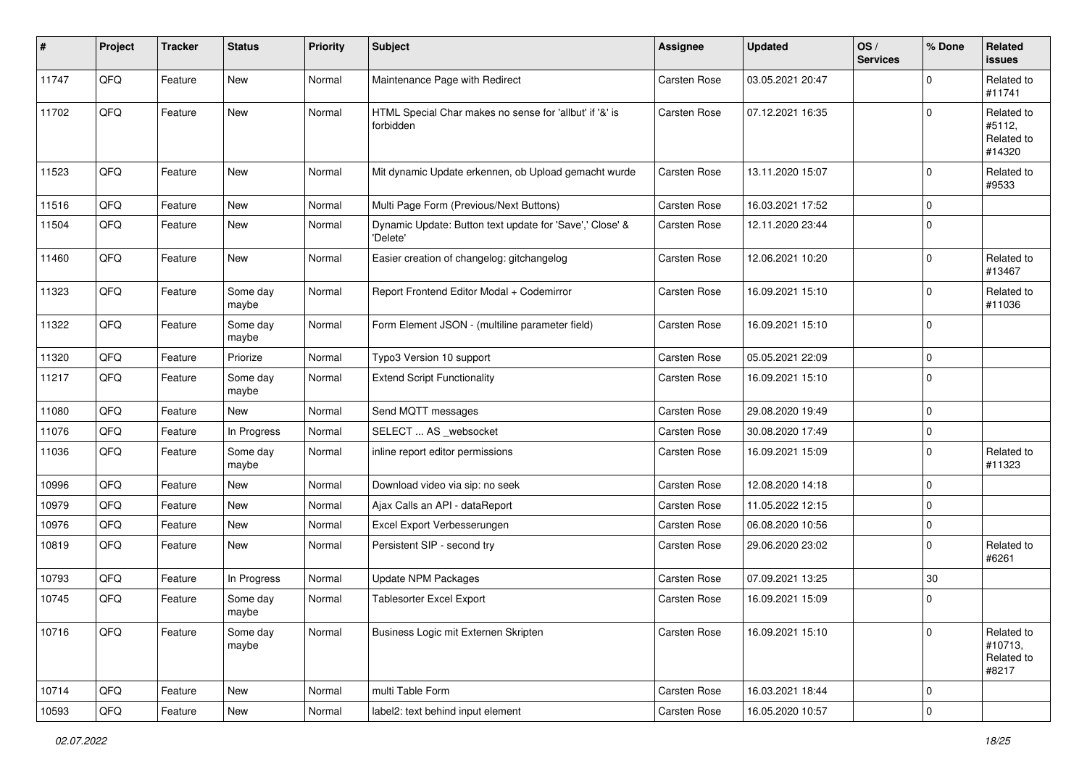| #     | Project | <b>Tracker</b> | <b>Status</b>     | <b>Priority</b> | Subject                                                              | <b>Assignee</b>     | <b>Updated</b>   | OS/<br><b>Services</b> | % Done      | Related<br><b>issues</b>                     |
|-------|---------|----------------|-------------------|-----------------|----------------------------------------------------------------------|---------------------|------------------|------------------------|-------------|----------------------------------------------|
| 11747 | QFQ     | Feature        | New               | Normal          | Maintenance Page with Redirect                                       | Carsten Rose        | 03.05.2021 20:47 |                        | $\Omega$    | Related to<br>#11741                         |
| 11702 | QFQ     | Feature        | New               | Normal          | HTML Special Char makes no sense for 'allbut' if '&' is<br>forbidden | Carsten Rose        | 07.12.2021 16:35 |                        | $\mathbf 0$ | Related to<br>#5112,<br>Related to<br>#14320 |
| 11523 | QFQ     | Feature        | New               | Normal          | Mit dynamic Update erkennen, ob Upload gemacht wurde                 | <b>Carsten Rose</b> | 13.11.2020 15:07 |                        | $\mathbf 0$ | Related to<br>#9533                          |
| 11516 | QFQ     | Feature        | <b>New</b>        | Normal          | Multi Page Form (Previous/Next Buttons)                              | <b>Carsten Rose</b> | 16.03.2021 17:52 |                        | $\mathbf 0$ |                                              |
| 11504 | QFQ     | Feature        | New               | Normal          | Dynamic Update: Button text update for 'Save',' Close' &<br>'Delete' | Carsten Rose        | 12.11.2020 23:44 |                        | $\mathbf 0$ |                                              |
| 11460 | QFQ     | Feature        | New               | Normal          | Easier creation of changelog: gitchangelog                           | Carsten Rose        | 12.06.2021 10:20 |                        | $\mathbf 0$ | Related to<br>#13467                         |
| 11323 | QFQ     | Feature        | Some day<br>maybe | Normal          | Report Frontend Editor Modal + Codemirror                            | Carsten Rose        | 16.09.2021 15:10 |                        | $\mathbf 0$ | Related to<br>#11036                         |
| 11322 | QFQ     | Feature        | Some day<br>maybe | Normal          | Form Element JSON - (multiline parameter field)                      | Carsten Rose        | 16.09.2021 15:10 |                        | $\mathbf 0$ |                                              |
| 11320 | QFQ     | Feature        | Priorize          | Normal          | Typo3 Version 10 support                                             | <b>Carsten Rose</b> | 05.05.2021 22:09 |                        | $\mathbf 0$ |                                              |
| 11217 | QFQ     | Feature        | Some day<br>maybe | Normal          | <b>Extend Script Functionality</b>                                   | Carsten Rose        | 16.09.2021 15:10 |                        | $\mathbf 0$ |                                              |
| 11080 | QFQ     | Feature        | New               | Normal          | Send MQTT messages                                                   | Carsten Rose        | 29.08.2020 19:49 |                        | $\mathbf 0$ |                                              |
| 11076 | QFQ     | Feature        | In Progress       | Normal          | SELECT  AS _websocket                                                | Carsten Rose        | 30.08.2020 17:49 |                        | $\mathbf 0$ |                                              |
| 11036 | QFQ     | Feature        | Some day<br>maybe | Normal          | inline report editor permissions                                     | Carsten Rose        | 16.09.2021 15:09 |                        | $\mathbf 0$ | Related to<br>#11323                         |
| 10996 | QFQ     | Feature        | New               | Normal          | Download video via sip: no seek                                      | Carsten Rose        | 12.08.2020 14:18 |                        | $\mathbf 0$ |                                              |
| 10979 | QFQ     | Feature        | New               | Normal          | Ajax Calls an API - dataReport                                       | Carsten Rose        | 11.05.2022 12:15 |                        | $\mathbf 0$ |                                              |
| 10976 | QFQ     | Feature        | New               | Normal          | Excel Export Verbesserungen                                          | Carsten Rose        | 06.08.2020 10:56 |                        | $\mathbf 0$ |                                              |
| 10819 | QFQ     | Feature        | New               | Normal          | Persistent SIP - second try                                          | Carsten Rose        | 29.06.2020 23:02 |                        | $\mathbf 0$ | Related to<br>#6261                          |
| 10793 | QFQ     | Feature        | In Progress       | Normal          | Update NPM Packages                                                  | Carsten Rose        | 07.09.2021 13:25 |                        | 30          |                                              |
| 10745 | QFQ     | Feature        | Some day<br>maybe | Normal          | <b>Tablesorter Excel Export</b>                                      | Carsten Rose        | 16.09.2021 15:09 |                        | $\mathbf 0$ |                                              |
| 10716 | QFQ     | Feature        | Some day<br>maybe | Normal          | Business Logic mit Externen Skripten                                 | Carsten Rose        | 16.09.2021 15:10 |                        | $\mathbf 0$ | Related to<br>#10713,<br>Related to<br>#8217 |
| 10714 | QFG     | Feature        | New               | Normal          | multi Table Form                                                     | Carsten Rose        | 16.03.2021 18:44 |                        | $\mathbf 0$ |                                              |
| 10593 | QFQ     | Feature        | New               | Normal          | label2: text behind input element                                    | Carsten Rose        | 16.05.2020 10:57 |                        | $\pmb{0}$   |                                              |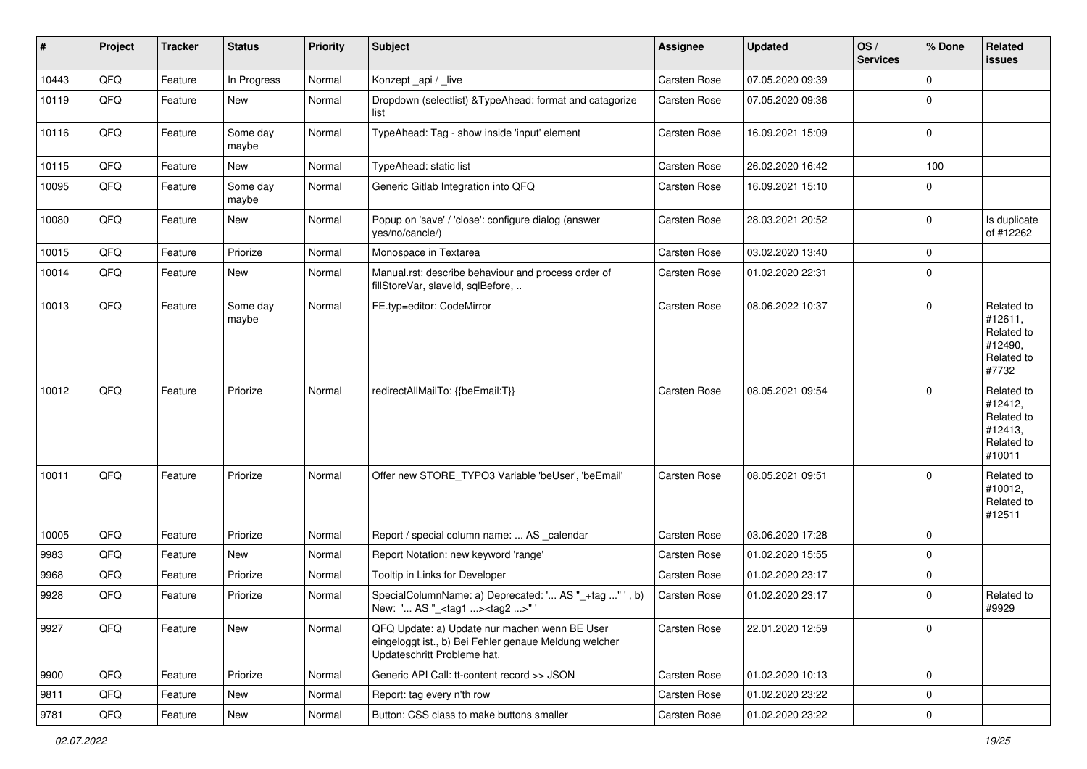| #     | Project | <b>Tracker</b> | <b>Status</b>     | <b>Priority</b> | <b>Subject</b>                                                                                                                        | <b>Assignee</b> | <b>Updated</b>   | OS/<br><b>Services</b> | % Done      | Related<br>issues                                                      |
|-------|---------|----------------|-------------------|-----------------|---------------------------------------------------------------------------------------------------------------------------------------|-----------------|------------------|------------------------|-------------|------------------------------------------------------------------------|
| 10443 | QFQ     | Feature        | In Progress       | Normal          | Konzept_api / _live                                                                                                                   | Carsten Rose    | 07.05.2020 09:39 |                        | $\Omega$    |                                                                        |
| 10119 | QFQ     | Feature        | New               | Normal          | Dropdown (selectlist) & TypeAhead: format and catagorize<br>list                                                                      | Carsten Rose    | 07.05.2020 09:36 |                        | $\Omega$    |                                                                        |
| 10116 | QFQ     | Feature        | Some day<br>maybe | Normal          | TypeAhead: Tag - show inside 'input' element                                                                                          | Carsten Rose    | 16.09.2021 15:09 |                        | $\mathbf 0$ |                                                                        |
| 10115 | QFQ     | Feature        | New               | Normal          | TypeAhead: static list                                                                                                                | Carsten Rose    | 26.02.2020 16:42 |                        | 100         |                                                                        |
| 10095 | QFQ     | Feature        | Some day<br>maybe | Normal          | Generic Gitlab Integration into QFQ                                                                                                   | Carsten Rose    | 16.09.2021 15:10 |                        | $\mathbf 0$ |                                                                        |
| 10080 | QFQ     | Feature        | New               | Normal          | Popup on 'save' / 'close': configure dialog (answer<br>yes/no/cancle/)                                                                | Carsten Rose    | 28.03.2021 20:52 |                        | $\Omega$    | Is duplicate<br>of #12262                                              |
| 10015 | QFQ     | Feature        | Priorize          | Normal          | Monospace in Textarea                                                                                                                 | Carsten Rose    | 03.02.2020 13:40 |                        | $\mathbf 0$ |                                                                        |
| 10014 | QFQ     | Feature        | New               | Normal          | Manual.rst: describe behaviour and process order of<br>fillStoreVar, slaveId, sqlBefore,                                              | Carsten Rose    | 01.02.2020 22:31 |                        | $\Omega$    |                                                                        |
| 10013 | QFQ     | Feature        | Some day<br>maybe | Normal          | FE.typ=editor: CodeMirror                                                                                                             | Carsten Rose    | 08.06.2022 10:37 |                        | $\mathbf 0$ | Related to<br>#12611,<br>Related to<br>#12490,<br>Related to<br>#7732  |
| 10012 | QFQ     | Feature        | Priorize          | Normal          | redirectAllMailTo: {{beEmail:T}}                                                                                                      | Carsten Rose    | 08.05.2021 09:54 |                        | $\Omega$    | Related to<br>#12412,<br>Related to<br>#12413,<br>Related to<br>#10011 |
| 10011 | QFQ     | Feature        | Priorize          | Normal          | Offer new STORE_TYPO3 Variable 'beUser', 'beEmail'                                                                                    | Carsten Rose    | 08.05.2021 09:51 |                        | $\Omega$    | Related to<br>#10012,<br>Related to<br>#12511                          |
| 10005 | QFQ     | Feature        | Priorize          | Normal          | Report / special column name:  AS _calendar                                                                                           | Carsten Rose    | 03.06.2020 17:28 |                        | $\mathbf 0$ |                                                                        |
| 9983  | QFQ     | Feature        | New               | Normal          | Report Notation: new keyword 'range'                                                                                                  | Carsten Rose    | 01.02.2020 15:55 |                        | $\mathbf 0$ |                                                                        |
| 9968  | QFQ     | Feature        | Priorize          | Normal          | Tooltip in Links for Developer                                                                                                        | Carsten Rose    | 01.02.2020 23:17 |                        | $\mathbf 0$ |                                                                        |
| 9928  | QFQ     | Feature        | Priorize          | Normal          | SpecialColumnName: a) Deprecated: ' AS "_+tag " ', b)<br>New: ' AS "_ <tag1><tag2>"</tag2></tag1>                                     | Carsten Rose    | 01.02.2020 23:17 |                        | $\Omega$    | Related to<br>#9929                                                    |
| 9927  | QFQ     | Feature        | New               | Normal          | QFQ Update: a) Update nur machen wenn BE User<br>eingeloggt ist., b) Bei Fehler genaue Meldung welcher<br>Updateschritt Probleme hat. | Carsten Rose    | 22.01.2020 12:59 |                        | $\mathbf 0$ |                                                                        |
| 9900  | QFQ     | Feature        | Priorize          | Normal          | Generic API Call: tt-content record >> JSON                                                                                           | Carsten Rose    | 01.02.2020 10:13 |                        | $\mathbf 0$ |                                                                        |
| 9811  | QFQ     | Feature        | New               | Normal          | Report: tag every n'th row                                                                                                            | Carsten Rose    | 01.02.2020 23:22 |                        | $\Omega$    |                                                                        |
| 9781  | QFQ     | Feature        | New               | Normal          | Button: CSS class to make buttons smaller                                                                                             | Carsten Rose    | 01.02.2020 23:22 |                        | $\mathbf 0$ |                                                                        |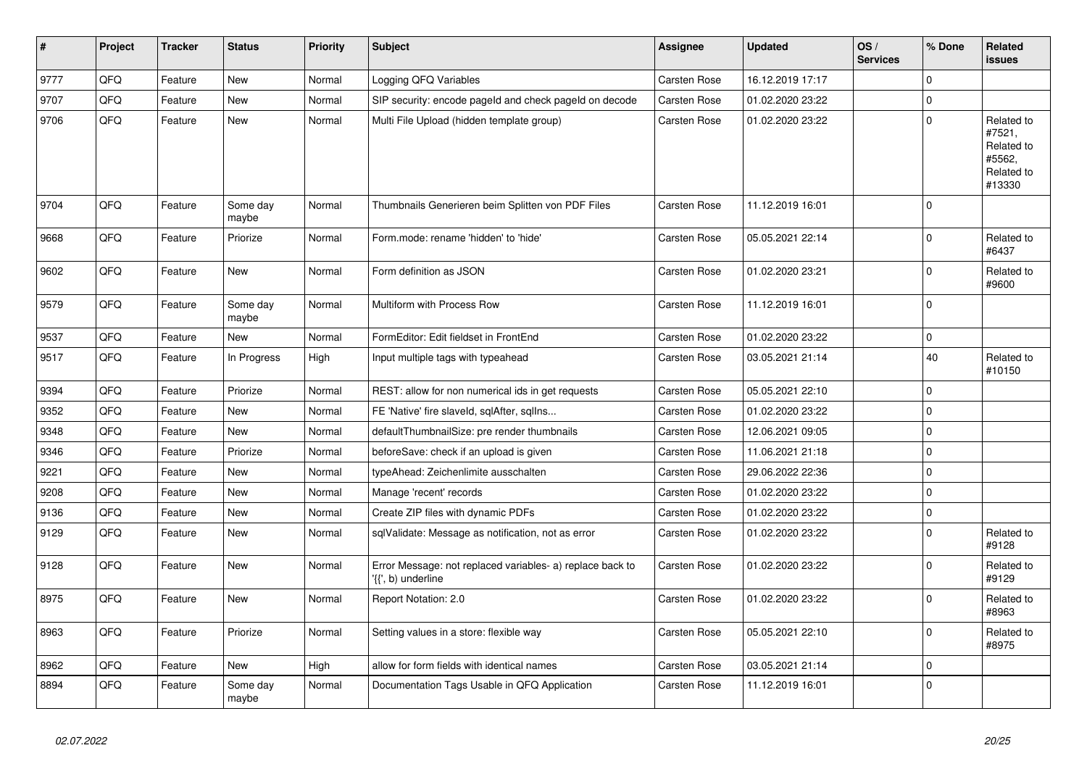| $\vert$ # | Project | <b>Tracker</b> | <b>Status</b>     | <b>Priority</b> | <b>Subject</b>                                                                  | Assignee     | <b>Updated</b>   | OS/<br><b>Services</b> | % Done      | Related<br><b>issues</b>                                             |
|-----------|---------|----------------|-------------------|-----------------|---------------------------------------------------------------------------------|--------------|------------------|------------------------|-------------|----------------------------------------------------------------------|
| 9777      | QFQ     | Feature        | <b>New</b>        | Normal          | Logging QFQ Variables                                                           | Carsten Rose | 16.12.2019 17:17 |                        | $\Omega$    |                                                                      |
| 9707      | QFQ     | Feature        | <b>New</b>        | Normal          | SIP security: encode pageld and check pageld on decode                          | Carsten Rose | 01.02.2020 23:22 |                        | $\Omega$    |                                                                      |
| 9706      | QFQ     | Feature        | <b>New</b>        | Normal          | Multi File Upload (hidden template group)                                       | Carsten Rose | 01.02.2020 23:22 |                        | $\mathbf 0$ | Related to<br>#7521,<br>Related to<br>#5562,<br>Related to<br>#13330 |
| 9704      | QFQ     | Feature        | Some day<br>maybe | Normal          | Thumbnails Generieren beim Splitten von PDF Files                               | Carsten Rose | 11.12.2019 16:01 |                        | $\Omega$    |                                                                      |
| 9668      | QFQ     | Feature        | Priorize          | Normal          | Form.mode: rename 'hidden' to 'hide'                                            | Carsten Rose | 05.05.2021 22:14 |                        | $\mathbf 0$ | Related to<br>#6437                                                  |
| 9602      | QFQ     | Feature        | New               | Normal          | Form definition as JSON                                                         | Carsten Rose | 01.02.2020 23:21 |                        | $\Omega$    | Related to<br>#9600                                                  |
| 9579      | QFQ     | Feature        | Some day<br>maybe | Normal          | Multiform with Process Row                                                      | Carsten Rose | 11.12.2019 16:01 |                        | $\mathbf 0$ |                                                                      |
| 9537      | QFQ     | Feature        | <b>New</b>        | Normal          | FormEditor: Edit fieldset in FrontEnd                                           | Carsten Rose | 01.02.2020 23:22 |                        | $\mathbf 0$ |                                                                      |
| 9517      | QFQ     | Feature        | In Progress       | High            | Input multiple tags with typeahead                                              | Carsten Rose | 03.05.2021 21:14 |                        | 40          | Related to<br>#10150                                                 |
| 9394      | QFQ     | Feature        | Priorize          | Normal          | REST: allow for non numerical ids in get requests                               | Carsten Rose | 05.05.2021 22:10 |                        | $\mathbf 0$ |                                                                      |
| 9352      | QFQ     | Feature        | <b>New</b>        | Normal          | FE 'Native' fire slaveld, sqlAfter, sqlIns                                      | Carsten Rose | 01.02.2020 23:22 |                        | $\Omega$    |                                                                      |
| 9348      | QFQ     | Feature        | New               | Normal          | defaultThumbnailSize: pre render thumbnails                                     | Carsten Rose | 12.06.2021 09:05 |                        | $\mathbf 0$ |                                                                      |
| 9346      | QFQ     | Feature        | Priorize          | Normal          | beforeSave: check if an upload is given                                         | Carsten Rose | 11.06.2021 21:18 |                        | $\mathbf 0$ |                                                                      |
| 9221      | QFQ     | Feature        | <b>New</b>        | Normal          | typeAhead: Zeichenlimite ausschalten                                            | Carsten Rose | 29.06.2022 22:36 |                        | $\mathbf 0$ |                                                                      |
| 9208      | QFQ     | Feature        | <b>New</b>        | Normal          | Manage 'recent' records                                                         | Carsten Rose | 01.02.2020 23:22 |                        | $\Omega$    |                                                                      |
| 9136      | QFQ     | Feature        | New               | Normal          | Create ZIP files with dynamic PDFs                                              | Carsten Rose | 01.02.2020 23:22 |                        | $\mathbf 0$ |                                                                      |
| 9129      | QFQ     | Feature        | New               | Normal          | sqlValidate: Message as notification, not as error                              | Carsten Rose | 01.02.2020 23:22 |                        | $\Omega$    | Related to<br>#9128                                                  |
| 9128      | QFQ     | Feature        | <b>New</b>        | Normal          | Error Message: not replaced variables- a) replace back to<br>'{{', b) underline | Carsten Rose | 01.02.2020 23:22 |                        | $\Omega$    | Related to<br>#9129                                                  |
| 8975      | QFQ     | Feature        | New               | Normal          | Report Notation: 2.0                                                            | Carsten Rose | 01.02.2020 23:22 |                        | $\Omega$    | Related to<br>#8963                                                  |
| 8963      | QFQ     | Feature        | Priorize          | Normal          | Setting values in a store: flexible way                                         | Carsten Rose | 05.05.2021 22:10 |                        | $\Omega$    | Related to<br>#8975                                                  |
| 8962      | QFQ     | Feature        | New               | High            | allow for form fields with identical names                                      | Carsten Rose | 03.05.2021 21:14 |                        | $\mathbf 0$ |                                                                      |
| 8894      | QFQ     | Feature        | Some day<br>maybe | Normal          | Documentation Tags Usable in QFQ Application                                    | Carsten Rose | 11.12.2019 16:01 |                        | $\mathbf 0$ |                                                                      |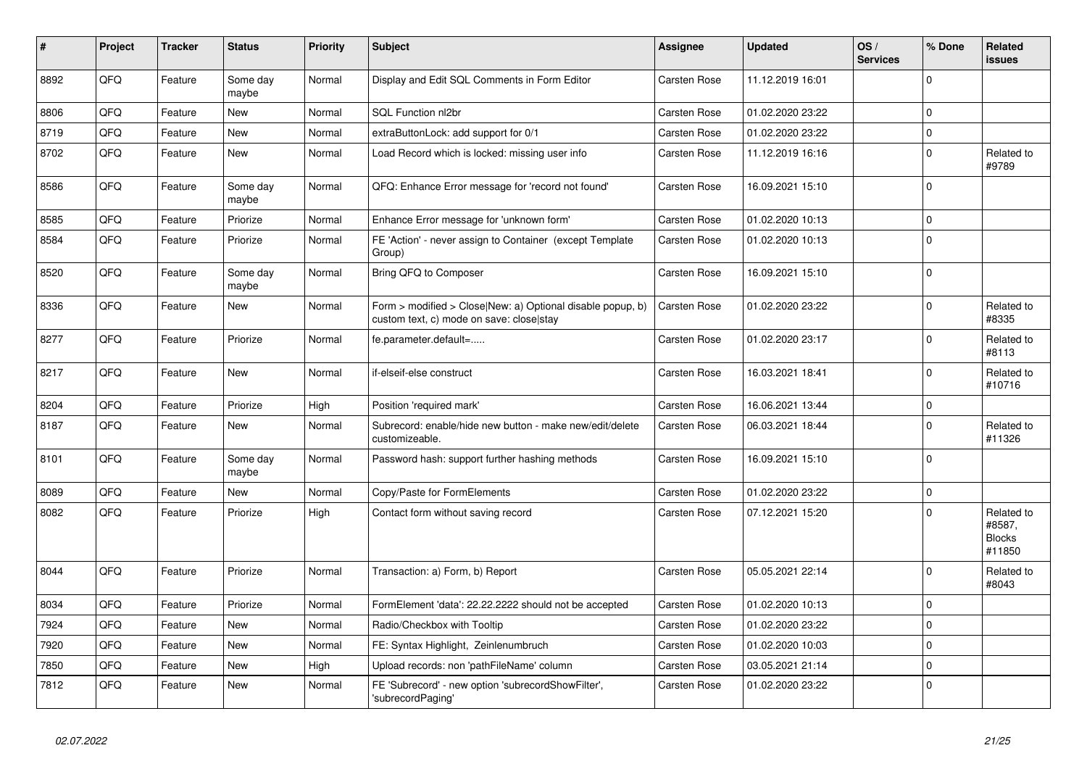| $\vert$ # | Project | <b>Tracker</b> | <b>Status</b>     | <b>Priority</b> | <b>Subject</b>                                                                                         | <b>Assignee</b> | <b>Updated</b>   | OS/<br><b>Services</b> | % Done      | Related<br><b>issues</b>                        |
|-----------|---------|----------------|-------------------|-----------------|--------------------------------------------------------------------------------------------------------|-----------------|------------------|------------------------|-------------|-------------------------------------------------|
| 8892      | QFQ     | Feature        | Some day<br>maybe | Normal          | Display and Edit SQL Comments in Form Editor                                                           | Carsten Rose    | 11.12.2019 16:01 |                        | $\Omega$    |                                                 |
| 8806      | QFQ     | Feature        | <b>New</b>        | Normal          | SQL Function nl2br                                                                                     | Carsten Rose    | 01.02.2020 23:22 |                        | $\mathbf 0$ |                                                 |
| 8719      | QFQ     | Feature        | <b>New</b>        | Normal          | extraButtonLock: add support for 0/1                                                                   | Carsten Rose    | 01.02.2020 23:22 |                        | $\mathbf 0$ |                                                 |
| 8702      | QFQ     | Feature        | New               | Normal          | Load Record which is locked: missing user info                                                         | Carsten Rose    | 11.12.2019 16:16 |                        | $\mathbf 0$ | Related to<br>#9789                             |
| 8586      | QFQ     | Feature        | Some day<br>maybe | Normal          | QFQ: Enhance Error message for 'record not found'                                                      | Carsten Rose    | 16.09.2021 15:10 |                        | $\Omega$    |                                                 |
| 8585      | QFQ     | Feature        | Priorize          | Normal          | Enhance Error message for 'unknown form'                                                               | Carsten Rose    | 01.02.2020 10:13 |                        | $\mathbf 0$ |                                                 |
| 8584      | QFQ     | Feature        | Priorize          | Normal          | FE 'Action' - never assign to Container (except Template<br>Group)                                     | Carsten Rose    | 01.02.2020 10:13 |                        | $\mathbf 0$ |                                                 |
| 8520      | QFQ     | Feature        | Some day<br>maybe | Normal          | Bring QFQ to Composer                                                                                  | Carsten Rose    | 16.09.2021 15:10 |                        | $\Omega$    |                                                 |
| 8336      | QFQ     | Feature        | <b>New</b>        | Normal          | Form > modified > Close New: a) Optional disable popup, b)<br>custom text, c) mode on save: close stay | Carsten Rose    | 01.02.2020 23:22 |                        | $\Omega$    | Related to<br>#8335                             |
| 8277      | QFQ     | Feature        | Priorize          | Normal          | fe.parameter.default=                                                                                  | Carsten Rose    | 01.02.2020 23:17 |                        | $\Omega$    | Related to<br>#8113                             |
| 8217      | QFQ     | Feature        | <b>New</b>        | Normal          | if-elseif-else construct                                                                               | Carsten Rose    | 16.03.2021 18:41 |                        | $\Omega$    | Related to<br>#10716                            |
| 8204      | QFQ     | Feature        | Priorize          | High            | Position 'required mark'                                                                               | Carsten Rose    | 16.06.2021 13:44 |                        | $\mathbf 0$ |                                                 |
| 8187      | QFQ     | Feature        | <b>New</b>        | Normal          | Subrecord: enable/hide new button - make new/edit/delete<br>customizeable.                             | Carsten Rose    | 06.03.2021 18:44 |                        | $\Omega$    | Related to<br>#11326                            |
| 8101      | QFQ     | Feature        | Some day<br>maybe | Normal          | Password hash: support further hashing methods                                                         | Carsten Rose    | 16.09.2021 15:10 |                        | $\Omega$    |                                                 |
| 8089      | QFQ     | Feature        | <b>New</b>        | Normal          | Copy/Paste for FormElements                                                                            | Carsten Rose    | 01.02.2020 23:22 |                        | $\mathbf 0$ |                                                 |
| 8082      | QFQ     | Feature        | Priorize          | High            | Contact form without saving record                                                                     | Carsten Rose    | 07.12.2021 15:20 |                        | $\mathbf 0$ | Related to<br>#8587,<br><b>Blocks</b><br>#11850 |
| 8044      | QFQ     | Feature        | Priorize          | Normal          | Transaction: a) Form, b) Report                                                                        | Carsten Rose    | 05.05.2021 22:14 |                        | $\mathbf 0$ | Related to<br>#8043                             |
| 8034      | QFQ     | Feature        | Priorize          | Normal          | FormElement 'data': 22.22.2222 should not be accepted                                                  | Carsten Rose    | 01.02.2020 10:13 |                        | $\mathbf 0$ |                                                 |
| 7924      | QFQ     | Feature        | <b>New</b>        | Normal          | Radio/Checkbox with Tooltip                                                                            | Carsten Rose    | 01.02.2020 23:22 |                        | $\mathbf 0$ |                                                 |
| 7920      | QFQ     | Feature        | <b>New</b>        | Normal          | FE: Syntax Highlight, Zeinlenumbruch                                                                   | Carsten Rose    | 01.02.2020 10:03 |                        | $\mathbf 0$ |                                                 |
| 7850      | QFQ     | Feature        | New               | High            | Upload records: non 'pathFileName' column                                                              | Carsten Rose    | 03.05.2021 21:14 |                        | $\mathbf 0$ |                                                 |
| 7812      | QFQ     | Feature        | New               | Normal          | FE 'Subrecord' - new option 'subrecordShowFilter',<br>'subrecordPaging'                                | Carsten Rose    | 01.02.2020 23:22 |                        | $\mathbf 0$ |                                                 |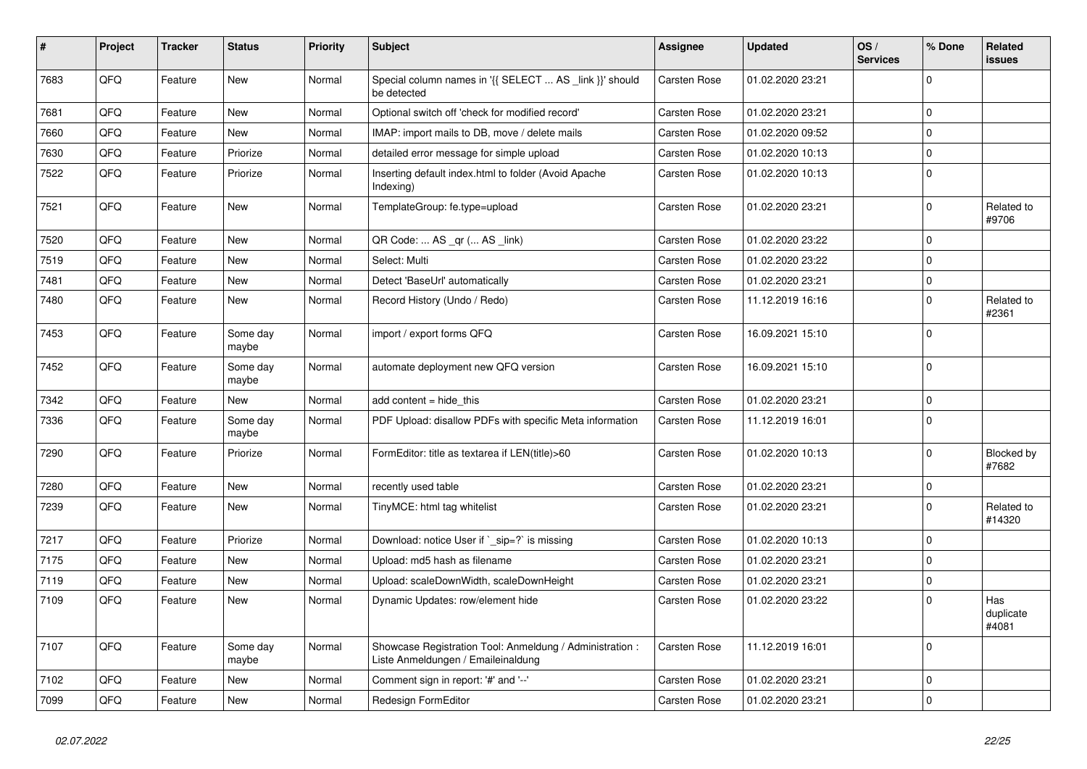| $\vert$ # | Project | <b>Tracker</b> | <b>Status</b>     | <b>Priority</b> | <b>Subject</b>                                                                                 | Assignee            | <b>Updated</b>   | OS/<br><b>Services</b> | % Done      | Related<br>issues         |
|-----------|---------|----------------|-------------------|-----------------|------------------------------------------------------------------------------------------------|---------------------|------------------|------------------------|-------------|---------------------------|
| 7683      | QFQ     | Feature        | <b>New</b>        | Normal          | Special column names in '{{ SELECT  AS _link }}' should<br>be detected                         | <b>Carsten Rose</b> | 01.02.2020 23:21 |                        | $\Omega$    |                           |
| 7681      | QFQ     | Feature        | <b>New</b>        | Normal          | Optional switch off 'check for modified record'                                                | Carsten Rose        | 01.02.2020 23:21 |                        | $\Omega$    |                           |
| 7660      | QFQ     | Feature        | <b>New</b>        | Normal          | IMAP: import mails to DB, move / delete mails                                                  | Carsten Rose        | 01.02.2020 09:52 |                        | $\Omega$    |                           |
| 7630      | QFQ     | Feature        | Priorize          | Normal          | detailed error message for simple upload                                                       | <b>Carsten Rose</b> | 01.02.2020 10:13 |                        | $\Omega$    |                           |
| 7522      | QFQ     | Feature        | Priorize          | Normal          | Inserting default index.html to folder (Avoid Apache<br>Indexing)                              | <b>Carsten Rose</b> | 01.02.2020 10:13 |                        | $\mathbf 0$ |                           |
| 7521      | QFQ     | Feature        | New               | Normal          | TemplateGroup: fe.type=upload                                                                  | Carsten Rose        | 01.02.2020 23:21 |                        | $\Omega$    | Related to<br>#9706       |
| 7520      | QFQ     | Feature        | <b>New</b>        | Normal          | QR Code:  AS _qr ( AS _link)                                                                   | Carsten Rose        | 01.02.2020 23:22 |                        | $\Omega$    |                           |
| 7519      | QFQ     | Feature        | <b>New</b>        | Normal          | Select: Multi                                                                                  | Carsten Rose        | 01.02.2020 23:22 |                        | $\Omega$    |                           |
| 7481      | QFQ     | Feature        | New               | Normal          | Detect 'BaseUrl' automatically                                                                 | Carsten Rose        | 01.02.2020 23:21 |                        | $\Omega$    |                           |
| 7480      | QFQ     | Feature        | New               | Normal          | Record History (Undo / Redo)                                                                   | Carsten Rose        | 11.12.2019 16:16 |                        | $\Omega$    | Related to<br>#2361       |
| 7453      | QFQ     | Feature        | Some day<br>maybe | Normal          | import / export forms QFQ                                                                      | <b>Carsten Rose</b> | 16.09.2021 15:10 |                        | $\Omega$    |                           |
| 7452      | QFQ     | Feature        | Some day<br>maybe | Normal          | automate deployment new QFQ version                                                            | Carsten Rose        | 16.09.2021 15:10 |                        | $\mathbf 0$ |                           |
| 7342      | QFQ     | Feature        | <b>New</b>        | Normal          | add content = hide this                                                                        | Carsten Rose        | 01.02.2020 23:21 |                        | $\mathbf 0$ |                           |
| 7336      | QFQ     | Feature        | Some day<br>maybe | Normal          | PDF Upload: disallow PDFs with specific Meta information                                       | Carsten Rose        | 11.12.2019 16:01 |                        | $\Omega$    |                           |
| 7290      | QFQ     | Feature        | Priorize          | Normal          | FormEditor: title as textarea if LEN(title)>60                                                 | <b>Carsten Rose</b> | 01.02.2020 10:13 |                        | $\Omega$    | Blocked by<br>#7682       |
| 7280      | QFQ     | Feature        | <b>New</b>        | Normal          | recently used table                                                                            | Carsten Rose        | 01.02.2020 23:21 |                        | $\mathbf 0$ |                           |
| 7239      | QFQ     | Feature        | <b>New</b>        | Normal          | TinyMCE: html tag whitelist                                                                    | Carsten Rose        | 01.02.2020 23:21 |                        | $\Omega$    | Related to<br>#14320      |
| 7217      | QFQ     | Feature        | Priorize          | Normal          | Download: notice User if `_sip=?` is missing                                                   | Carsten Rose        | 01.02.2020 10:13 |                        | $\Omega$    |                           |
| 7175      | QFQ     | Feature        | New               | Normal          | Upload: md5 hash as filename                                                                   | Carsten Rose        | 01.02.2020 23:21 |                        | $\Omega$    |                           |
| 7119      | QFQ     | Feature        | New               | Normal          | Upload: scaleDownWidth, scaleDownHeight                                                        | Carsten Rose        | 01.02.2020 23:21 |                        | $\mathbf 0$ |                           |
| 7109      | QFQ     | Feature        | New               | Normal          | Dynamic Updates: row/element hide                                                              | Carsten Rose        | 01.02.2020 23:22 |                        | $\Omega$    | Has<br>duplicate<br>#4081 |
| 7107      | QFQ     | Feature        | Some day<br>maybe | Normal          | Showcase Registration Tool: Anmeldung / Administration :<br>Liste Anmeldungen / Emaileinaldung | Carsten Rose        | 11.12.2019 16:01 |                        | $\Omega$    |                           |
| 7102      | QFQ     | Feature        | <b>New</b>        | Normal          | Comment sign in report: '#' and '--'                                                           | Carsten Rose        | 01.02.2020 23:21 |                        | 0           |                           |
| 7099      | QFQ     | Feature        | New               | Normal          | Redesign FormEditor                                                                            | Carsten Rose        | 01.02.2020 23:21 |                        | $\mathbf 0$ |                           |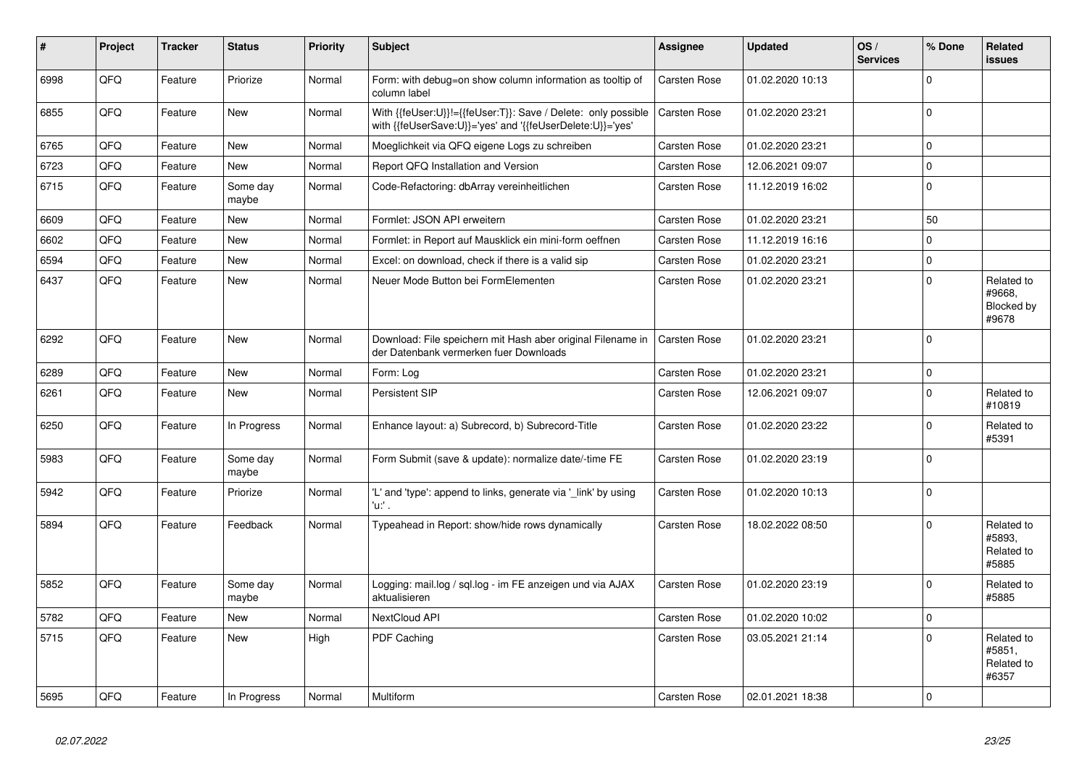| #    | Project | <b>Tracker</b> | <b>Status</b>     | <b>Priority</b> | Subject                                                                                                                    | Assignee            | <b>Updated</b>   | OS/<br><b>Services</b> | % Done         | Related<br>issues                           |
|------|---------|----------------|-------------------|-----------------|----------------------------------------------------------------------------------------------------------------------------|---------------------|------------------|------------------------|----------------|---------------------------------------------|
| 6998 | QFQ     | Feature        | Priorize          | Normal          | Form: with debug=on show column information as tooltip of<br>column label                                                  | Carsten Rose        | 01.02.2020 10:13 |                        | $\Omega$       |                                             |
| 6855 | QFQ     | Feature        | New               | Normal          | With {{feUser:U}}!={{feUser:T}}: Save / Delete: only possible<br>with {{feUserSave:U}}='yes' and '{{feUserDelete:U}}='yes' | <b>Carsten Rose</b> | 01.02.2020 23:21 |                        | $\Omega$       |                                             |
| 6765 | QFQ     | Feature        | <b>New</b>        | Normal          | Moeglichkeit via QFQ eigene Logs zu schreiben                                                                              | Carsten Rose        | 01.02.2020 23:21 |                        | $\mathbf 0$    |                                             |
| 6723 | QFQ     | Feature        | <b>New</b>        | Normal          | Report QFQ Installation and Version                                                                                        | Carsten Rose        | 12.06.2021 09:07 |                        | $\mathbf 0$    |                                             |
| 6715 | QFQ     | Feature        | Some day<br>maybe | Normal          | Code-Refactoring: dbArray vereinheitlichen                                                                                 | Carsten Rose        | 11.12.2019 16:02 |                        | $\mathbf 0$    |                                             |
| 6609 | QFQ     | Feature        | <b>New</b>        | Normal          | Formlet: JSON API erweitern                                                                                                | Carsten Rose        | 01.02.2020 23:21 |                        | 50             |                                             |
| 6602 | QFQ     | Feature        | <b>New</b>        | Normal          | Formlet: in Report auf Mausklick ein mini-form oeffnen                                                                     | Carsten Rose        | 11.12.2019 16:16 |                        | $\Omega$       |                                             |
| 6594 | QFQ     | Feature        | <b>New</b>        | Normal          | Excel: on download, check if there is a valid sip                                                                          | Carsten Rose        | 01.02.2020 23:21 |                        | $\mathbf 0$    |                                             |
| 6437 | QFQ     | Feature        | <b>New</b>        | Normal          | Neuer Mode Button bei FormElementen                                                                                        | Carsten Rose        | 01.02.2020 23:21 |                        | $\Omega$       | Related to<br>#9668,<br>Blocked by<br>#9678 |
| 6292 | QFQ     | Feature        | <b>New</b>        | Normal          | Download: File speichern mit Hash aber original Filename in<br>der Datenbank vermerken fuer Downloads                      | Carsten Rose        | 01.02.2020 23:21 |                        | $\mathbf 0$    |                                             |
| 6289 | QFQ     | Feature        | <b>New</b>        | Normal          | Form: Log                                                                                                                  | Carsten Rose        | 01.02.2020 23:21 |                        | $\mathbf 0$    |                                             |
| 6261 | QFQ     | Feature        | <b>New</b>        | Normal          | Persistent SIP                                                                                                             | Carsten Rose        | 12.06.2021 09:07 |                        | $\Omega$       | Related to<br>#10819                        |
| 6250 | QFQ     | Feature        | In Progress       | Normal          | Enhance layout: a) Subrecord, b) Subrecord-Title                                                                           | Carsten Rose        | 01.02.2020 23:22 |                        | $\mathbf 0$    | Related to<br>#5391                         |
| 5983 | QFQ     | Feature        | Some day<br>maybe | Normal          | Form Submit (save & update): normalize date/-time FE                                                                       | Carsten Rose        | 01.02.2020 23:19 |                        | $\mathbf 0$    |                                             |
| 5942 | QFQ     | Feature        | Priorize          | Normal          | 'L' and 'type': append to links, generate via 'link' by using<br>'u:' .                                                    | Carsten Rose        | 01.02.2020 10:13 |                        | $\Omega$       |                                             |
| 5894 | QFQ     | Feature        | Feedback          | Normal          | Typeahead in Report: show/hide rows dynamically                                                                            | Carsten Rose        | 18.02.2022 08:50 |                        | $\Omega$       | Related to<br>#5893,<br>Related to<br>#5885 |
| 5852 | QFQ     | Feature        | Some day<br>maybe | Normal          | Logging: mail.log / sql.log - im FE anzeigen und via AJAX<br>aktualisieren                                                 | Carsten Rose        | 01.02.2020 23:19 |                        | $\Omega$       | Related to<br>#5885                         |
| 5782 | QFQ     | Feature        | <b>New</b>        | Normal          | NextCloud API                                                                                                              | Carsten Rose        | 01.02.2020 10:02 |                        | $\Omega$       |                                             |
| 5715 | QFQ     | Feature        | <b>New</b>        | High            | PDF Caching                                                                                                                | Carsten Rose        | 03.05.2021 21:14 |                        | $\mathbf 0$    | Related to<br>#5851,<br>Related to<br>#6357 |
| 5695 | QFQ     | Feature        | In Progress       | Normal          | <b>Multiform</b>                                                                                                           | Carsten Rose        | 02.01.2021 18:38 |                        | $\overline{0}$ |                                             |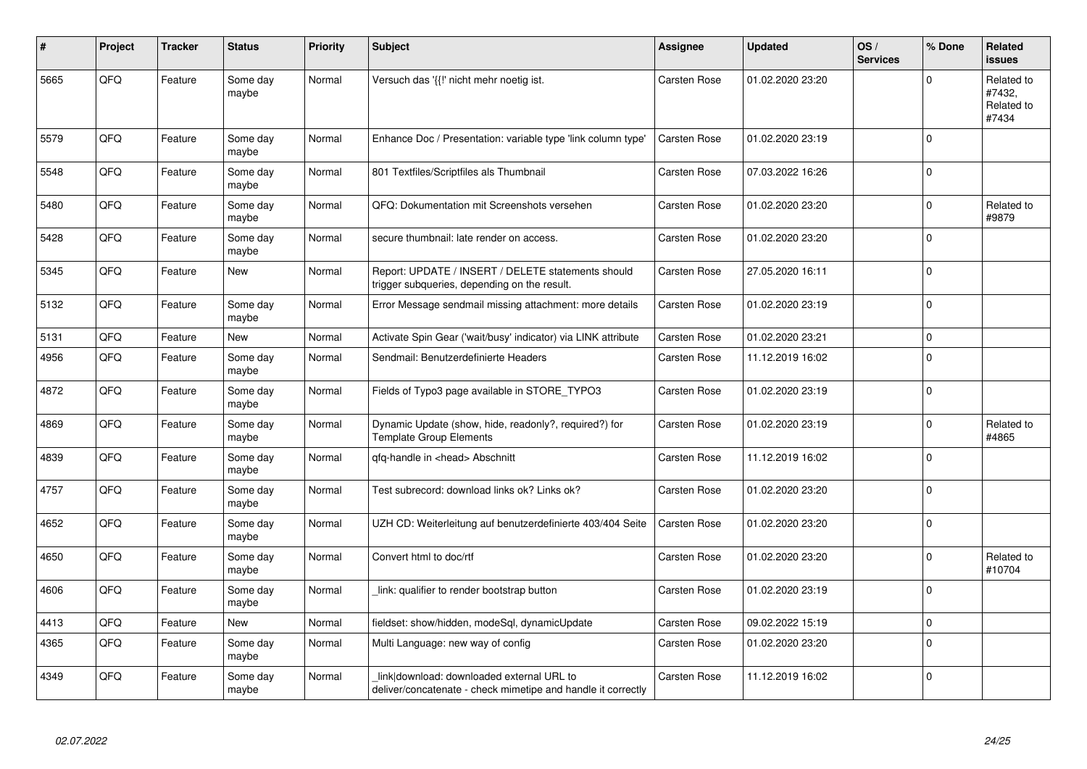| #    | Project | <b>Tracker</b> | <b>Status</b>     | <b>Priority</b> | <b>Subject</b>                                                                                            | <b>Assignee</b> | <b>Updated</b>   | OS/<br><b>Services</b> | % Done      | Related<br><b>issues</b>                    |
|------|---------|----------------|-------------------|-----------------|-----------------------------------------------------------------------------------------------------------|-----------------|------------------|------------------------|-------------|---------------------------------------------|
| 5665 | QFQ     | Feature        | Some day<br>maybe | Normal          | Versuch das '{{!' nicht mehr noetig ist.                                                                  | Carsten Rose    | 01.02.2020 23:20 |                        | $\Omega$    | Related to<br>#7432,<br>Related to<br>#7434 |
| 5579 | QFQ     | Feature        | Some day<br>maybe | Normal          | Enhance Doc / Presentation: variable type 'link column type'                                              | Carsten Rose    | 01.02.2020 23:19 |                        | $\Omega$    |                                             |
| 5548 | QFQ     | Feature        | Some day<br>maybe | Normal          | 801 Textfiles/Scriptfiles als Thumbnail                                                                   | Carsten Rose    | 07.03.2022 16:26 |                        | $\Omega$    |                                             |
| 5480 | QFQ     | Feature        | Some day<br>maybe | Normal          | QFQ: Dokumentation mit Screenshots versehen                                                               | Carsten Rose    | 01.02.2020 23:20 |                        | $\Omega$    | Related to<br>#9879                         |
| 5428 | QFQ     | Feature        | Some day<br>maybe | Normal          | secure thumbnail: late render on access.                                                                  | Carsten Rose    | 01.02.2020 23:20 |                        | $\mathbf 0$ |                                             |
| 5345 | QFQ     | Feature        | <b>New</b>        | Normal          | Report: UPDATE / INSERT / DELETE statements should<br>trigger subqueries, depending on the result.        | Carsten Rose    | 27.05.2020 16:11 |                        | $\mathbf 0$ |                                             |
| 5132 | QFQ     | Feature        | Some day<br>maybe | Normal          | Error Message sendmail missing attachment: more details                                                   | Carsten Rose    | 01.02.2020 23:19 |                        | $\mathbf 0$ |                                             |
| 5131 | QFQ     | Feature        | New               | Normal          | Activate Spin Gear ('wait/busy' indicator) via LINK attribute                                             | Carsten Rose    | 01.02.2020 23:21 |                        | $\mathbf 0$ |                                             |
| 4956 | QFQ     | Feature        | Some day<br>maybe | Normal          | Sendmail: Benutzerdefinierte Headers                                                                      | Carsten Rose    | 11.12.2019 16:02 |                        | $\mathbf 0$ |                                             |
| 4872 | QFQ     | Feature        | Some day<br>maybe | Normal          | Fields of Typo3 page available in STORE_TYPO3                                                             | Carsten Rose    | 01.02.2020 23:19 |                        | $\Omega$    |                                             |
| 4869 | QFQ     | Feature        | Some day<br>maybe | Normal          | Dynamic Update (show, hide, readonly?, required?) for<br><b>Template Group Elements</b>                   | Carsten Rose    | 01.02.2020 23:19 |                        | $\mathbf 0$ | Related to<br>#4865                         |
| 4839 | QFQ     | Feature        | Some day<br>maybe | Normal          | qfq-handle in <head> Abschnitt</head>                                                                     | Carsten Rose    | 11.12.2019 16:02 |                        | $\mathbf 0$ |                                             |
| 4757 | QFQ     | Feature        | Some day<br>maybe | Normal          | Test subrecord: download links ok? Links ok?                                                              | Carsten Rose    | 01.02.2020 23:20 |                        | $\Omega$    |                                             |
| 4652 | QFQ     | Feature        | Some day<br>maybe | Normal          | UZH CD: Weiterleitung auf benutzerdefinierte 403/404 Seite                                                | Carsten Rose    | 01.02.2020 23:20 |                        | $\Omega$    |                                             |
| 4650 | QFQ     | Feature        | Some day<br>maybe | Normal          | Convert html to doc/rtf                                                                                   | Carsten Rose    | 01.02.2020 23:20 |                        | $\mathbf 0$ | Related to<br>#10704                        |
| 4606 | QFQ     | Feature        | Some day<br>maybe | Normal          | link: qualifier to render bootstrap button                                                                | Carsten Rose    | 01.02.2020 23:19 |                        | $\mathbf 0$ |                                             |
| 4413 | QFQ     | Feature        | New               | Normal          | fieldset: show/hidden, modeSql, dynamicUpdate                                                             | Carsten Rose    | 09.02.2022 15:19 |                        | $\mathbf 0$ |                                             |
| 4365 | QFQ     | Feature        | Some day<br>maybe | Normal          | Multi Language: new way of config                                                                         | Carsten Rose    | 01.02.2020 23:20 |                        | $\Omega$    |                                             |
| 4349 | QFQ     | Feature        | Some day<br>maybe | Normal          | link download: downloaded external URL to<br>deliver/concatenate - check mimetipe and handle it correctly | Carsten Rose    | 11.12.2019 16:02 |                        | $\Omega$    |                                             |